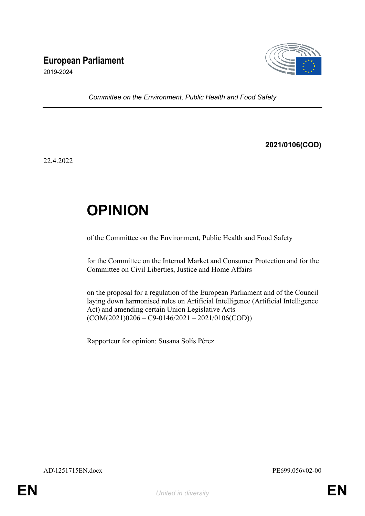# **European Parliament**



2019-2024

*Committee on the Environment, Public Health and Food Safety*

**2021/0106(COD)**

22.4.2022

# **OPINION**

of the Committee on the Environment, Public Health and Food Safety

for the Committee on the Internal Market and Consumer Protection and for the Committee on Civil Liberties, Justice and Home Affairs

on the proposal for a regulation of the European Parliament and of the Council laying down harmonised rules on Artificial Intelligence (Artificial Intelligence Act) and amending certain Union Legislative Acts  $(COM(2021)0206 - C9 - 0146/2021 - 2021/0106(COD))$ 

Rapporteur for opinion: Susana Solís Pérez

AD\1251715EN.docx PE699.056v02-00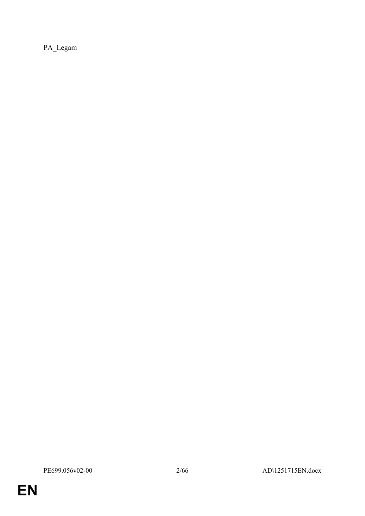PA\_Legam

**EN**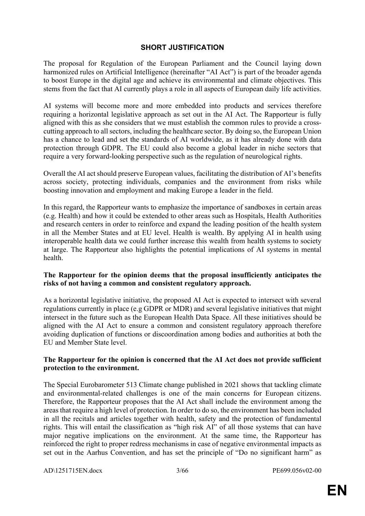### **SHORT JUSTIFICATION**

The proposal for Regulation of the European Parliament and the Council laying down harmonized rules on Artificial Intelligence (hereinafter "AI Act") is part of the broader agenda to boost Europe in the digital age and achieve its environmental and climate objectives. This stems from the fact that AI currently plays a role in all aspects of European daily life activities.

AI systems will become more and more embedded into products and services therefore requiring a horizontal legislative approach as set out in the AI Act. The Rapporteur is fully aligned with this as she considers that we must establish the common rules to provide a crosscutting approach to all sectors, including the healthcare sector. By doing so, the European Union has a chance to lead and set the standards of AI worldwide, as it has already done with data protection through GDPR. The EU could also become a global leader in niche sectors that require a very forward-looking perspective such as the regulation of neurological rights.

Overall the AI act should preserve European values, facilitating the distribution of AI's benefits across society, protecting individuals, companies and the environment from risks while boosting innovation and employment and making Europe a leader in the field.

In this regard, the Rapporteur wants to emphasize the importance of sandboxes in certain areas (e.g. Health) and how it could be extended to other areas such as Hospitals, Health Authorities and research centers in order to reinforce and expand the leading position of the health system in all the Member States and at EU level. Health is wealth. By applying AI in health using interoperable health data we could further increase this wealth from health systems to society at large. The Rapporteur also highlights the potential implications of AI systems in mental health.

### **The Rapporteur for the opinion deems that the proposal insufficiently anticipates the risks of not having a common and consistent regulatory approach.**

As a horizontal legislative initiative, the proposed AI Act is expected to intersect with several regulations currently in place (e.g GDPR or MDR) and several legislative initiatives that might intersect in the future such as the European Health Data Space. All these initiatives should be aligned with the AI Act to ensure a common and consistent regulatory approach therefore avoiding duplication of functions or discoordination among bodies and authorities at both the EU and Member State level.

### **The Rapporteur for the opinion is concerned that the AI Act does not provide sufficient protection to the environment.**

The Special Eurobarometer 513 Climate change published in 2021 shows that tackling climate and environmental-related challenges is one of the main concerns for European citizens. Therefore, the Rapporteur proposes that the AI Act shall include the environment among the areas that require a high level of protection. In order to do so, the environment has been included in all the recitals and articles together with health, safety and the protection of fundamental rights. This will entail the classification as "high risk AI" of all those systems that can have major negative implications on the environment. At the same time, the Rapporteur has reinforced the right to proper redress mechanisms in case of negative environmental impacts as set out in the Aarhus Convention, and has set the principle of "Do no significant harm" as

AD\1251715EN.docx 3/66 PE699.056v02-00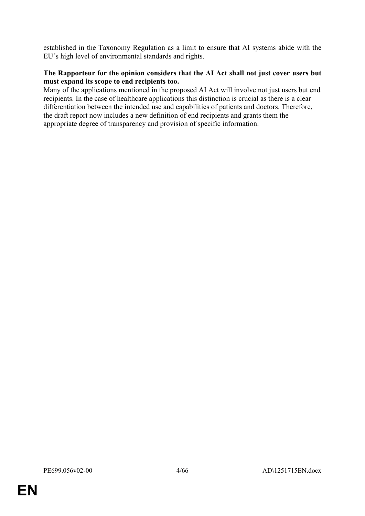established in the Taxonomy Regulation as a limit to ensure that AI systems abide with the EU´s high level of environmental standards and rights.

### **The Rapporteur for the opinion considers that the AI Act shall not just cover users but must expand its scope to end recipients too.**

Many of the applications mentioned in the proposed AI Act will involve not just users but end recipients. In the case of healthcare applications this distinction is crucial as there is a clear differentiation between the intended use and capabilities of patients and doctors. Therefore, the draft report now includes a new definition of end recipients and grants them the appropriate degree of transparency and provision of specific information.

**EN**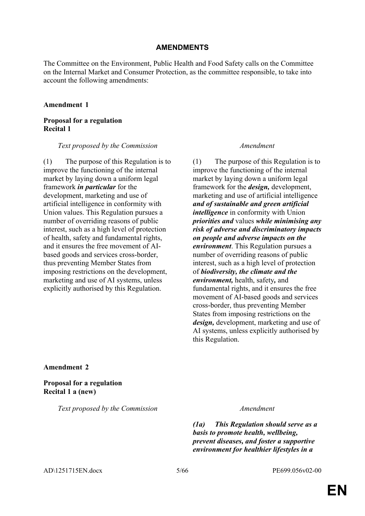### **AMENDMENTS**

The Committee on the Environment, Public Health and Food Safety calls on the Committee on the Internal Market and Consumer Protection, as the committee responsible, to take into account the following amendments:

#### **Amendment 1**

**Proposal for a regulation Recital 1**

#### *Text proposed by the Commission Amendment*

(1) The purpose of this Regulation is to improve the functioning of the internal market by laying down a uniform legal framework *in particular* for the development, marketing and use of artificial intelligence in conformity with Union values. This Regulation pursues a number of overriding reasons of public interest, such as a high level of protection of health, safety and fundamental rights, and it ensures the free movement of AIbased goods and services cross-border, thus preventing Member States from imposing restrictions on the development, marketing and use of AI systems, unless explicitly authorised by this Regulation.

(1) The purpose of this Regulation is to improve the functioning of the internal market by laying down a uniform legal framework for the *design,* development, marketing and use of artificial intelligence *and of sustainable and green artificial intelligence* in conformity with Union *priorities and* values *while minimising any risk of adverse and discriminatory impacts on people and adverse impacts on the environment*. This Regulation pursues a number of overriding reasons of public interest, such as a high level of protection of *biodiversity, the climate and the environment,* health, safety*,* and fundamental rights, and it ensures the free movement of AI-based goods and services cross-border, thus preventing Member States from imposing restrictions on the *design,* development, marketing and use of AI systems, unless explicitly authorised by this Regulation.

#### **Amendment 2**

**Proposal for a regulation Recital 1 a (new)**

*Text proposed by the Commission Amendment*

*(1a) This Regulation should serve as a basis to promote health, wellbeing, prevent diseases, and foster a supportive environment for healthier lifestyles in a* 

AD\1251715EN.docx 5/66 PE699.056v02-00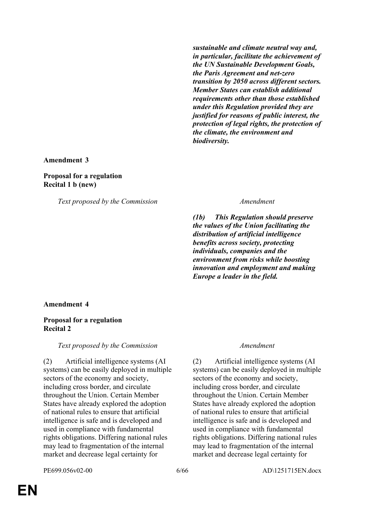*sustainable and climate neutral way and, in particular, facilitate the achievement of the UN Sustainable Development Goals, the Paris Agreement and net-zero transition by 2050 across different sectors. Member States can establish additional requirements other than those established under this Regulation provided they are justified for reasons of public interest, the protection of legal rights, the protection of the climate, the environment and biodiversity.*

#### **Amendment 3**

#### **Proposal for a regulation Recital 1 b (new)**

*Text proposed by the Commission Amendment*

*(1b) This Regulation should preserve the values of the Union facilitating the distribution of artificial intelligence benefits across society, protecting individuals, companies and the environment from risks while boosting innovation and employment and making Europe a leader in the field.*

#### **Amendment 4**

#### **Proposal for a regulation Recital 2**

*Text proposed by the Commission Amendment*

(2) Artificial intelligence systems (AI systems) can be easily deployed in multiple sectors of the economy and society, including cross border, and circulate throughout the Union. Certain Member States have already explored the adoption of national rules to ensure that artificial intelligence is safe and is developed and used in compliance with fundamental rights obligations. Differing national rules may lead to fragmentation of the internal market and decrease legal certainty for

(2) Artificial intelligence systems (AI systems) can be easily deployed in multiple sectors of the economy and society, including cross border, and circulate throughout the Union. Certain Member States have already explored the adoption of national rules to ensure that artificial intelligence is safe and is developed and used in compliance with fundamental rights obligations. Differing national rules may lead to fragmentation of the internal market and decrease legal certainty for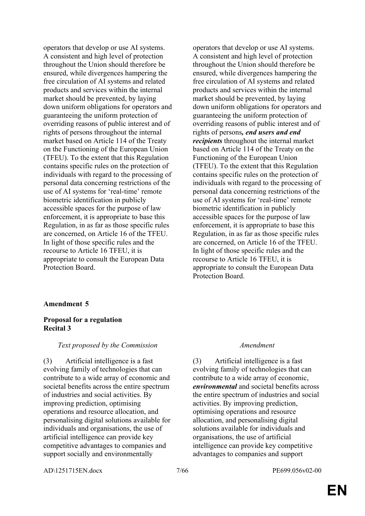operators that develop or use AI systems. A consistent and high level of protection throughout the Union should therefore be ensured, while divergences hampering the free circulation of AI systems and related products and services within the internal market should be prevented, by laying down uniform obligations for operators and guaranteeing the uniform protection of overriding reasons of public interest and of rights of persons throughout the internal market based on Article 114 of the Treaty on the Functioning of the European Union (TFEU). To the extent that this Regulation contains specific rules on the protection of individuals with regard to the processing of personal data concerning restrictions of the use of AI systems for 'real-time' remote biometric identification in publicly accessible spaces for the purpose of law enforcement, it is appropriate to base this Regulation, in as far as those specific rules are concerned, on Article 16 of the TFEU. In light of those specific rules and the recourse to Article 16 TFEU, it is appropriate to consult the European Data Protection Board.

operators that develop or use AI systems. A consistent and high level of protection throughout the Union should therefore be ensured, while divergences hampering the free circulation of AI systems and related products and services within the internal market should be prevented, by laying down uniform obligations for operators and guaranteeing the uniform protection of overriding reasons of public interest and of rights of persons*, end users and end recipients* throughout the internal market based on Article 114 of the Treaty on the Functioning of the European Union (TFEU). To the extent that this Regulation contains specific rules on the protection of individuals with regard to the processing of personal data concerning restrictions of the use of AI systems for 'real-time' remote biometric identification in publicly accessible spaces for the purpose of law enforcement, it is appropriate to base this Regulation, in as far as those specific rules are concerned, on Article 16 of the TFEU. In light of those specific rules and the recourse to Article 16 TFEU, it is appropriate to consult the European Data Protection Board.

#### **Amendment 5**

### **Proposal for a regulation Recital 3**

#### *Text proposed by the Commission Amendment*

(3) Artificial intelligence is a fast evolving family of technologies that can contribute to a wide array of economic and societal benefits across the entire spectrum of industries and social activities. By improving prediction, optimising operations and resource allocation, and personalising digital solutions available for individuals and organisations, the use of artificial intelligence can provide key competitive advantages to companies and support socially and environmentally

(3) Artificial intelligence is a fast evolving family of technologies that can contribute to a wide array of economic, *environmental* and societal benefits across the entire spectrum of industries and social activities. By improving prediction, optimising operations and resource allocation, and personalising digital solutions available for individuals and organisations, the use of artificial intelligence can provide key competitive advantages to companies and support

AD\1251715EN.docx 7/66 PE699.056v02-00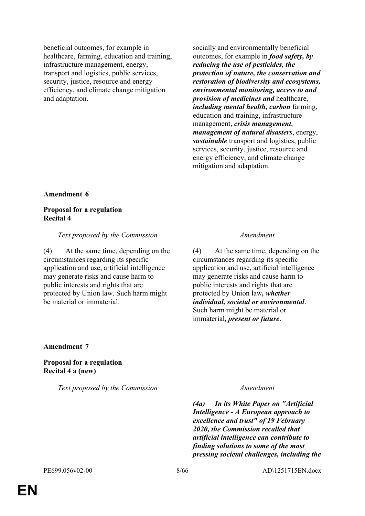beneficial outcomes, for example in healthcare, farming, education and training, infrastructure management, energy, transport and logistics, public services, security, justice, resource and energy efficiency, and climate change mitigation and adaptation.

socially and environmentally beneficial outcomes, for example in *food safety, by reducing the use of pesticides, the protection of nature, the conservation and restoration of biodiversity and ecosystems, environmental monitoring, access to and provision of medicines and* healthcare, *including mental health, carbon* farming, education and training, infrastructure management, *crisis management*, *management of natural disasters*, energy, *sustainable* transport and logistics, public services, security, justice, resource and energy efficiency, and climate change mitigation and adaptation.

#### **Amendment 6**

#### **Proposal for a regulation Recital 4**

#### *Text proposed by the Commission Amendment*

(4) At the same time, depending on the circumstances regarding its specific application and use, artificial intelligence may generate risks and cause harm to public interests and rights that are protected by Union law. Such harm might be material or immaterial.

(4) At the same time, depending on the circumstances regarding its specific application and use, artificial intelligence may generate risks and cause harm to public interests and rights that are protected by Union law*, whether individual, societal or environmental*. Such harm might be material or immaterial*, present or future*.

### **Amendment 7**

**Proposal for a regulation Recital 4 a (new)**

*Text proposed by the Commission Amendment*

*(4a) In its White Paper on "Artificial Intelligence - A European approach to excellence and trust" of 19 February 2020, the Commission recalled that artificial intelligence can contribute to finding solutions to some of the most pressing societal challenges, including the*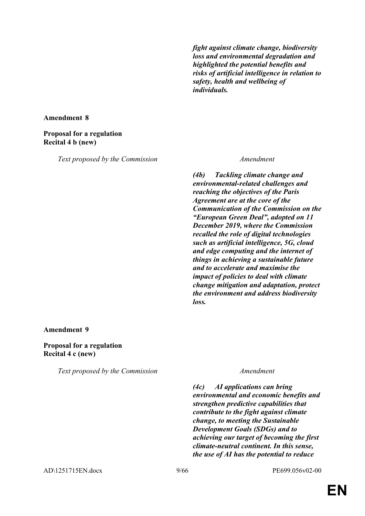*fight against climate change, biodiversity loss and environmental degradation and highlighted the potential benefits and risks of artificial intelligence in relation to safety, health and wellbeing of individuals.*

**Amendment 8**

### **Proposal for a regulation Recital 4 b (new)**

*Text proposed by the Commission Amendment*

*(4b) Tackling climate change and environmental-related challenges and reaching the objectives of the Paris Agreement are at the core of the Communication of the Commission on the "European Green Deal", adopted on 11 December 2019, where the Commission recalled the role of digital technologies such as artificial intelligence, 5G, cloud and edge computing and the internet of things in achieving a sustainable future and to accelerate and maximise the impact of policies to deal with climate change mitigation and adaptation, protect the environment and address biodiversity loss.*

#### **Amendment 9**

**Proposal for a regulation Recital 4 c (new)**

*Text proposed by the Commission Amendment*

*(4c) AI applications can bring environmental and economic benefits and strengthen predictive capabilities that contribute to the fight against climate change, to meeting the Sustainable Development Goals (SDGs) and to achieving our target of becoming the first climate-neutral continent. In this sense, the use of AI has the potential to reduce* 

AD\1251715EN.docx 9/66 PE699.056v02-00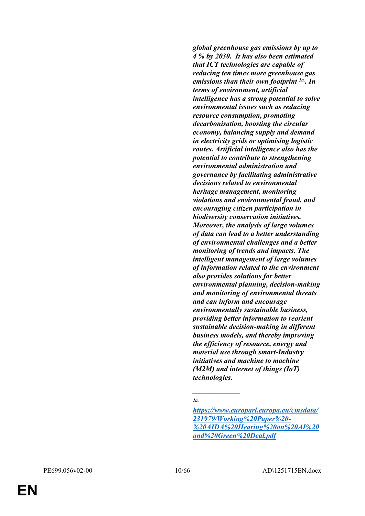*global greenhouse gas emissions by up to 4 % by 2030. It has also been estimated that ICT technologies are capable of reducing ten times more greenhouse gas emissions than their own footprint 1a.. In terms of environment, artificial intelligence has a strong potential to solve environmental issues such as reducing resource consumption, promoting decarbonisation, boosting the circular economy, balancing supply and demand in electricity grids or optimising logistic routes. Artificial intelligence also has the potential to contribute to strengthening environmental administration and governance by facilitating administrative decisions related to environmental heritage management, monitoring violations and environmental fraud, and encouraging citizen participation in biodiversity conservation initiatives. Moreover, the analysis of large volumes of data can lead to a better understanding of environmental challenges and a better monitoring of trends and impacts. The intelligent management of large volumes of information related to the environment also provides solutions for better environmental planning, decision-making and monitoring of environmental threats and can inform and encourage environmentally sustainable business, providing better information to reorient sustainable decision-making in different business models, and thereby improving the efficiency of resource, energy and material use through smart-Industry initiatives and machine to machine (M2M) and internet of things (IoT) technologies.*

*\_\_\_\_\_\_\_\_\_\_\_\_\_*

*<sup>1</sup>a.*

*[https://www.europarl.europa.eu/cmsdata/](https://www.europarl.europa.eu/cmsdata/231979/Working%20Paper%20-%20AIDA%20Hearing%20on%20AI%20and%20Green%20Deal.pdf) [231979/Working%20Paper%20-](https://www.europarl.europa.eu/cmsdata/231979/Working%20Paper%20-%20AIDA%20Hearing%20on%20AI%20and%20Green%20Deal.pdf) [%20AIDA%20Hearing%20on%20AI%20](https://www.europarl.europa.eu/cmsdata/231979/Working%20Paper%20-%20AIDA%20Hearing%20on%20AI%20and%20Green%20Deal.pdf) [and%20Green%20Deal.pdf](https://www.europarl.europa.eu/cmsdata/231979/Working%20Paper%20-%20AIDA%20Hearing%20on%20AI%20and%20Green%20Deal.pdf)*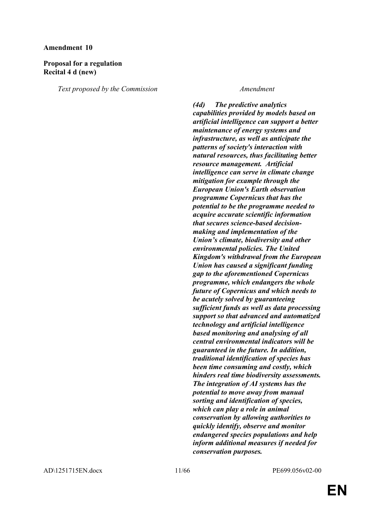### **Proposal for a regulation Recital 4 d (new)**

*Text proposed by the Commission Amendment*

*(4d) The predictive analytics capabilities provided by models based on artificial intelligence can support a better maintenance of energy systems and infrastructure, as well as anticipate the patterns of society's interaction with natural resources, thus facilitating better resource management. Artificial intelligence can serve in climate change mitigation for example through the European Union's Earth observation programme Copernicus that has the potential to be the programme needed to acquire accurate scientific information that secures science-based decisionmaking and implementation of the Union's climate, biodiversity and other environmental policies. The United Kingdom's withdrawal from the European Union has caused a significant funding gap to the aforementioned Copernicus programme, which endangers the whole future of Copernicus and which needs to be acutely solved by guaranteeing sufficient funds as well as data processing support so that advanced and automatized technology and artificial intelligence based monitoring and analysing of all central environmental indicators will be guaranteed in the future. In addition, traditional identification of species has been time consuming and costly, which hinders real time biodiversity assessments. The integration of AI systems has the potential to move away from manual sorting and identification of species, which can play a role in animal conservation by allowing authorities to quickly identify, observe and monitor endangered species populations and help inform additional measures if needed for conservation purposes.*

AD\1251715EN.docx 11/66 PE699.056v02-00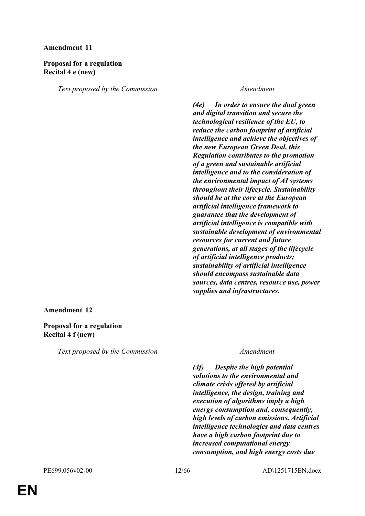### **Proposal for a regulation Recital 4 e (new)**

*Text proposed by the Commission Amendment*

*(4e) In order to ensure the dual green and digital transition and secure the technological resilience of the EU, to reduce the carbon footprint of artificial intelligence and achieve the objectives of the new European Green Deal, this Regulation contributes to the promotion of a green and sustainable artificial intelligence and to the consideration of the environmental impact of AI systems throughout their lifecycle. Sustainability should be at the core at the European artificial intelligence framework to guarantee that the development of artificial intelligence is compatible with sustainable development of environmental resources for current and future generations, at all stages of the lifecycle of artificial intelligence products; sustainability of artificial intelligence should encompass sustainable data sources, data centres, resource use, power supplies and infrastructures.*

#### **Amendment 12**

#### **Proposal for a regulation Recital 4 f (new)**

*Text proposed by the Commission Amendment*

*(4f) Despite the high potential solutions to the environmental and climate crisis offered by artificial intelligence, the design, training and execution of algorithms imply a high energy consumption and, consequently, high levels of carbon emissions. Artificial intelligence technologies and data centres have a high carbon footprint due to increased computational energy consumption, and high energy costs due*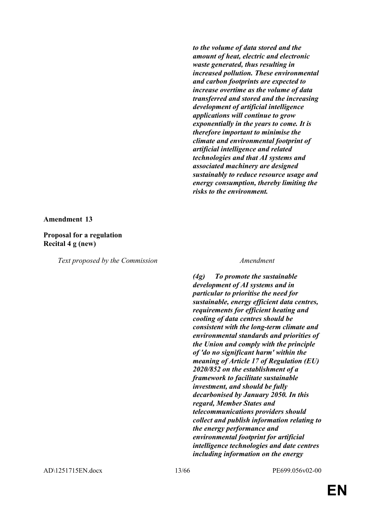*to the volume of data stored and the amount of heat, electric and electronic waste generated, thus resulting in increased pollution. These environmental and carbon footprints are expected to increase overtime as the volume of data transferred and stored and the increasing development of artificial intelligence applications will continue to grow exponentially in the years to come. It is therefore important to minimise the climate and environmental footprint of artificial intelligence and related technologies and that AI systems and associated machinery are designed sustainably to reduce resource usage and energy consumption, thereby limiting the risks to the environment.* 

#### **Amendment 13**

#### **Proposal for a regulation Recital 4 g (new)**

*Text proposed by the Commission Amendment*

*(4g) To promote the sustainable development of AI systems and in particular to prioritise the need for sustainable, energy efficient data centres, requirements for efficient heating and cooling of data centres should be consistent with the long-term climate and environmental standards and priorities of the Union and comply with the principle of 'do no significant harm' within the meaning of Article 17 of Regulation (EU) 2020/852 on the establishment of a framework to facilitate sustainable investment, and should be fully decarbonised by January 2050. In this regard, Member States and telecommunications providers should collect and publish information relating to the energy performance and environmental footprint for artificial intelligence technologies and date centres including information on the energy*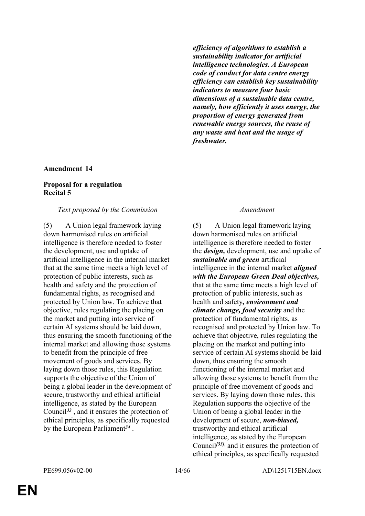*efficiency of algorithms to establish a sustainability indicator for artificial intelligence technologies. A European code of conduct for data centre energy efficiency can establish key sustainability indicators to measure four basic dimensions of a sustainable data centre, namely, how efficiently it uses energy, the proportion of energy generated from renewable energy sources, the reuse of any waste and heat and the usage of freshwater.*

#### **Amendment 14**

#### **Proposal for a regulation Recital 5**

#### *Text proposed by the Commission Amendment*

(5) A Union legal framework laying down harmonised rules on artificial intelligence is therefore needed to foster the development, use and uptake of artificial intelligence in the internal market that at the same time meets a high level of protection of public interests, such as health and safety and the protection of fundamental rights, as recognised and protected by Union law. To achieve that objective, rules regulating the placing on the market and putting into service of certain AI systems should be laid down, thus ensuring the smooth functioning of the internal market and allowing those systems to benefit from the principle of free movement of goods and services. By laying down those rules, this Regulation supports the objective of the Union of being a global leader in the development of secure, trustworthy and ethical artificial intelligence, as stated by the European Council*<sup>33</sup>* , and it ensures the protection of ethical principles, as specifically requested by the European Parliament*<sup>34</sup>* .

(5) A Union legal framework laying down harmonised rules on artificial intelligence is therefore needed to foster the *design,* development, use and uptake of *sustainable and green* artificial intelligence in the internal market *aligned with the European Green Deal objectives,* that at the same time meets a high level of protection of public interests, such as health and safety*, environment and climate change, food security* and the protection of fundamental rights, as recognised and protected by Union law. To achieve that objective, rules regulating the placing on the market and putting into service of certain AI systems should be laid down, thus ensuring the smooth functioning of the internal market and allowing those systems to benefit from the principle of free movement of goods and services. By laying down those rules, this Regulation supports the objective of the Union of being a global leader in the development of secure, *non-biased,* trustworthy and ethical artificial intelligence, as stated by the European Council*[33]*, and it ensures the protection of ethical principles, as specifically requested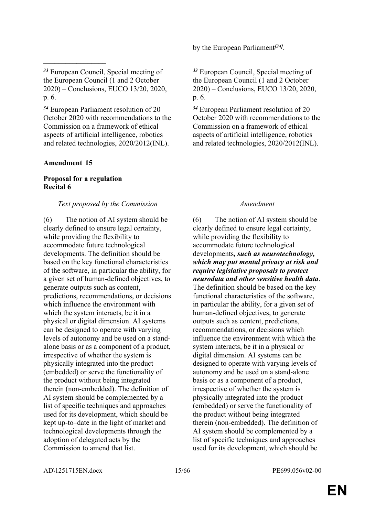*<sup>33</sup>* European Council, Special meeting of the European Council (1 and 2 October 2020) – Conclusions, EUCO 13/20, 2020, p. 6.

*<sup>34</sup>* European Parliament resolution of 20 October 2020 with recommendations to the Commission on a framework of ethical aspects of artificial intelligence, robotics and related technologies, 2020/2012(INL).

#### **Amendment 15**

 $\frac{1}{2}$ 

### **Proposal for a regulation Recital 6**

#### *Text proposed by the Commission Amendment*

(6) The notion of AI system should be clearly defined to ensure legal certainty, while providing the flexibility to accommodate future technological developments. The definition should be based on the key functional characteristics of the software, in particular the ability, for a given set of human-defined objectives, to generate outputs such as content, predictions, recommendations, or decisions which influence the environment with which the system interacts, be it in a physical or digital dimension. AI systems can be designed to operate with varying levels of autonomy and be used on a standalone basis or as a component of a product, irrespective of whether the system is physically integrated into the product (embedded) or serve the functionality of the product without being integrated therein (non-embedded). The definition of AI system should be complemented by a list of specific techniques and approaches used for its development, which should be kept up-to–date in the light of market and technological developments through the adoption of delegated acts by the Commission to amend that list.

by the European Parliament<sup>[34]</sup>.

*<sup>33</sup>* European Council, Special meeting of the European Council (1 and 2 October 2020) – Conclusions, EUCO 13/20, 2020, p. 6.

*<sup>34</sup>* European Parliament resolution of 20 October 2020 with recommendations to the Commission on a framework of ethical aspects of artificial intelligence, robotics and related technologies, 2020/2012(INL).

(6) The notion of AI system should be clearly defined to ensure legal certainty, while providing the flexibility to accommodate future technological developments*, such as neurotechnology, which may put mental privacy at risk and require legislative proposals to protect neurodata and other sensitive health data*. The definition should be based on the key functional characteristics of the software, in particular the ability, for a given set of human-defined objectives, to generate outputs such as content, predictions, recommendations, or decisions which influence the environment with which the system interacts, be it in a physical or digital dimension. AI systems can be designed to operate with varying levels of autonomy and be used on a stand-alone basis or as a component of a product, irrespective of whether the system is physically integrated into the product (embedded) or serve the functionality of the product without being integrated therein (non-embedded). The definition of AI system should be complemented by a list of specific techniques and approaches used for its development, which should be

AD\1251715EN.docx 15/66 PE699.056v02-00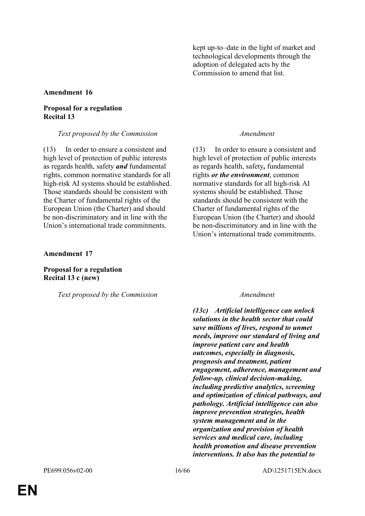kept up-to–date in the light of market and technological developments through the adoption of delegated acts by the Commission to amend that list.

#### **Amendment 16**

#### **Proposal for a regulation Recital 13**

*Text proposed by the Commission Amendment*

(13) In order to ensure a consistent and high level of protection of public interests as regards health, safety *and* fundamental rights, common normative standards for all high-risk AI systems should be established. Those standards should be consistent with the Charter of fundamental rights of the European Union (the Charter) and should be non-discriminatory and in line with the Union's international trade commitments.

#### **Amendment 17**

**Proposal for a regulation Recital 13 c (new)**

*Text proposed by the Commission Amendment*

(13) In order to ensure a consistent and high level of protection of public interests as regards health, safety*,* fundamental rights *or the environment*, common normative standards for all high-risk AI systems should be established. Those standards should be consistent with the Charter of fundamental rights of the European Union (the Charter) and should be non-discriminatory and in line with the Union's international trade commitments.

*(13c) Artificial intelligence can unlock solutions in the health sector that could save millions of lives, respond to unmet needs, improve our standard of living and improve patient care and health outcomes, especially in diagnosis, prognosis and treatment, patient engagement, adherence, management and follow-up, clinical decision-making, including predictive analytics, screening and optimization of clinical pathways, and pathology. Artificial intelligence can also improve prevention strategies, health system management and in the organization and provision of health services and medical care, including health promotion and disease prevention interventions. It also has the potential to*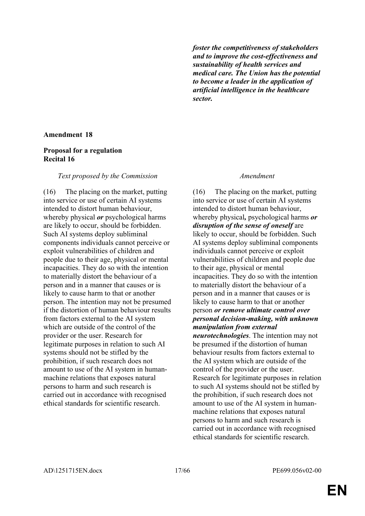*foster the competitiveness of stakeholders and to improve the cost-effectiveness and sustainability of health services and medical care. The Union has the potential to become a leader in the application of artificial intelligence in the healthcare sector.*

#### **Amendment 18**

#### **Proposal for a regulation Recital 16**

#### *Text proposed by the Commission Amendment*

(16) The placing on the market, putting into service or use of certain AI systems intended to distort human behaviour, whereby physical *or* psychological harms are likely to occur, should be forbidden. Such AI systems deploy subliminal components individuals cannot perceive or exploit vulnerabilities of children and people due to their age, physical or mental incapacities. They do so with the intention to materially distort the behaviour of a person and in a manner that causes or is likely to cause harm to that or another person. The intention may not be presumed if the distortion of human behaviour results from factors external to the AI system which are outside of the control of the provider or the user. Research for legitimate purposes in relation to such AI systems should not be stifled by the prohibition, if such research does not amount to use of the AI system in humanmachine relations that exposes natural persons to harm and such research is carried out in accordance with recognised ethical standards for scientific research.

(16) The placing on the market, putting into service or use of certain AI systems intended to distort human behaviour, whereby physical*,* psychological harms *or disruption of the sense of oneself* are likely to occur, should be forbidden. Such AI systems deploy subliminal components individuals cannot perceive or exploit vulnerabilities of children and people due to their age, physical or mental incapacities. They do so with the intention to materially distort the behaviour of a person and in a manner that causes or is likely to cause harm to that or another person *or remove ultimate control over personal decision-making, with unknown manipulation from external neurotechnologies*. The intention may not be presumed if the distortion of human behaviour results from factors external to the AI system which are outside of the control of the provider or the user. Research for legitimate purposes in relation to such AI systems should not be stifled by the prohibition, if such research does not amount to use of the AI system in humanmachine relations that exposes natural persons to harm and such research is carried out in accordance with recognised ethical standards for scientific research.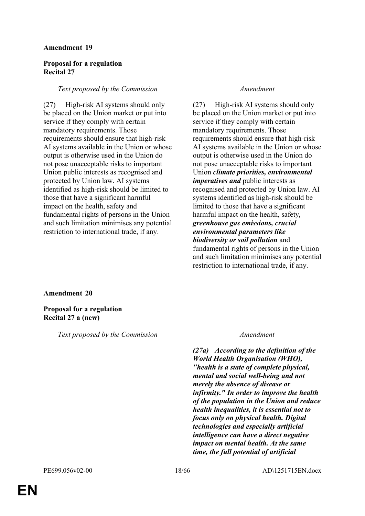#### **Proposal for a regulation Recital 27**

#### *Text proposed by the Commission Amendment*

(27) High-risk AI systems should only be placed on the Union market or put into service if they comply with certain mandatory requirements. Those requirements should ensure that high-risk AI systems available in the Union or whose output is otherwise used in the Union do not pose unacceptable risks to important Union public interests as recognised and protected by Union law. AI systems identified as high-risk should be limited to those that have a significant harmful impact on the health, safety and fundamental rights of persons in the Union and such limitation minimises any potential restriction to international trade, if any.

(27) High-risk AI systems should only be placed on the Union market or put into service if they comply with certain mandatory requirements. Those requirements should ensure that high-risk AI systems available in the Union or whose output is otherwise used in the Union do not pose unacceptable risks to important Union *climate priorities, environmental imperatives and* public interests as recognised and protected by Union law. AI systems identified as high-risk should be limited to those that have a significant harmful impact on the health, safety*, greenhouse gas emissions, crucial environmental parameters like biodiversity or soil pollution* and fundamental rights of persons in the Union and such limitation minimises any potential restriction to international trade, if any.

#### **Amendment 20**

#### **Proposal for a regulation Recital 27 a (new)**

*Text proposed by the Commission Amendment*

*(27a) According to the definition of the World Health Organisation (WHO), "health is a state of complete physical, mental and social well-being and not merely the absence of disease or infirmity." In order to improve the health of the population in the Union and reduce health inequalities, it is essential not to focus only on physical health. Digital technologies and especially artificial intelligence can have a direct negative impact on mental health. At the same time, the full potential of artificial*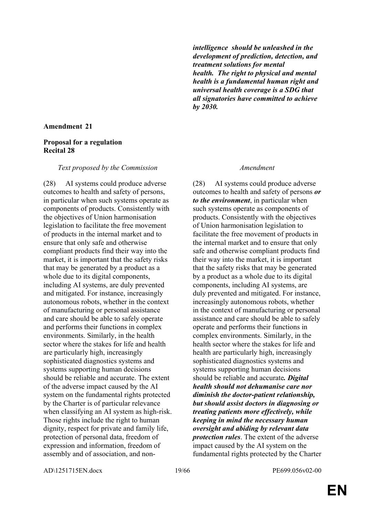#### **Proposal for a regulation Recital 28**

#### *Text proposed by the Commission Amendment*

(28) AI systems could produce adverse outcomes to health and safety of persons, in particular when such systems operate as components of products. Consistently with the objectives of Union harmonisation legislation to facilitate the free movement of products in the internal market and to ensure that only safe and otherwise compliant products find their way into the market, it is important that the safety risks that may be generated by a product as a whole due to its digital components, including AI systems, are duly prevented and mitigated. For instance, increasingly autonomous robots, whether in the context of manufacturing or personal assistance and care should be able to safely operate and performs their functions in complex environments. Similarly, in the health sector where the stakes for life and health are particularly high, increasingly sophisticated diagnostics systems and systems supporting human decisions should be reliable and accurate. The extent of the adverse impact caused by the AI system on the fundamental rights protected by the Charter is of particular relevance when classifying an AI system as high-risk. Those rights include the right to human dignity, respect for private and family life, protection of personal data, freedom of expression and information, freedom of assembly and of association, and non*intelligence should be unleashed in the development of prediction, detection, and treatment solutions for mental health. The right to physical and mental health is a fundamental human right and universal health coverage is a SDG that all signatories have committed to achieve by 2030.*

(28) AI systems could produce adverse outcomes to health and safety of persons *or to the environment*, in particular when such systems operate as components of products. Consistently with the objectives of Union harmonisation legislation to facilitate the free movement of products in the internal market and to ensure that only safe and otherwise compliant products find their way into the market, it is important that the safety risks that may be generated by a product as a whole due to its digital components, including AI systems, are duly prevented and mitigated. For instance, increasingly autonomous robots, whether in the context of manufacturing or personal assistance and care should be able to safely operate and performs their functions in complex environments. Similarly, in the health sector where the stakes for life and health are particularly high, increasingly sophisticated diagnostics systems and systems supporting human decisions should be reliable and accurate*. Digital health should not dehumanise care nor diminish the doctor-patient relationship, but should assist doctors in diagnosing or treating patients more effectively, while keeping in mind the necessary human oversight and abiding by relevant data protection rules*. The extent of the adverse impact caused by the AI system on the fundamental rights protected by the Charter

AD\1251715EN.docx 19/66 PE699.056v02-00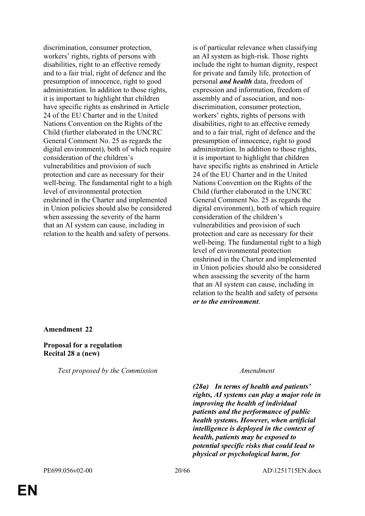discrimination, consumer protection, workers' rights, rights of persons with disabilities, right to an effective remedy and to a fair trial, right of defence and the presumption of innocence, right to good administration. In addition to those rights, it is important to highlight that children have specific rights as enshrined in Article 24 of the EU Charter and in the United Nations Convention on the Rights of the Child (further elaborated in the UNCRC General Comment No. 25 as regards the digital environment), both of which require consideration of the children's vulnerabilities and provision of such protection and care as necessary for their well-being. The fundamental right to a high level of environmental protection enshrined in the Charter and implemented in Union policies should also be considered when assessing the severity of the harm that an AI system can cause, including in relation to the health and safety of persons.

is of particular relevance when classifying an AI system as high-risk. Those rights include the right to human dignity, respect for private and family life, protection of personal *and health* data, freedom of expression and information, freedom of assembly and of association, and nondiscrimination, consumer protection, workers' rights, rights of persons with disabilities, right to an effective remedy and to a fair trial, right of defence and the presumption of innocence, right to good administration. In addition to those rights, it is important to highlight that children have specific rights as enshrined in Article 24 of the EU Charter and in the United Nations Convention on the Rights of the Child (further elaborated in the UNCRC General Comment No. 25 as regards the digital environment), both of which require consideration of the children's vulnerabilities and provision of such protection and care as necessary for their well-being. The fundamental right to a high level of environmental protection enshrined in the Charter and implemented in Union policies should also be considered when assessing the severity of the harm that an AI system can cause, including in relation to the health and safety of persons *or to the environment*.

**Amendment 22**

**Proposal for a regulation Recital 28 a (new)**

*Text proposed by the Commission Amendment*

*(28a) In terms of health and patients' rights, AI systems can play a major role in improving the health of individual patients and the performance of public health systems. However, when artificial intelligence is deployed in the context of health, patients may be exposed to potential specific risks that could lead to physical or psychological harm, for*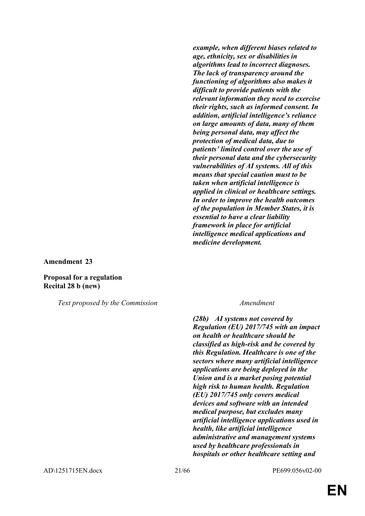*example, when different biases related to age, ethnicity, sex or disabilities in algorithms lead to incorrect diagnoses. The lack of transparency around the functioning of algorithms also makes it difficult to provide patients with the relevant information they need to exercise their rights, such as informed consent. In addition, artificial intelligence's reliance on large amounts of data, many of them being personal data, may affect the protection of medical data, due to patients' limited control over the use of their personal data and the cybersecurity vulnerabilities of AI systems. All of this means that special caution must to be taken when artificial intelligence is applied in clinical or healthcare settings. In order to improve the health outcomes of the population in Member States, it is essential to have a clear liability framework in place for artificial intelligence medical applications and medicine development.*

**Amendment 23**

**Proposal for a regulation Recital 28 b (new)**

*Text proposed by the Commission Amendment*

*(28b) AI systems not covered by Regulation (EU) 2017/745 with an impact on health or healthcare should be classified as high-risk and be covered by this Regulation. Healthcare is one of the sectors where many artificial intelligence applications are being deployed in the Union and is a market posing potential high risk to human health. Regulation (EU) 2017/745 only covers medical devices and software with an intended medical purpose, but excludes many artificial intelligence applications used in health, like artificial intelligence administrative and management systems used by healthcare professionals in hospitals or other healthcare setting and*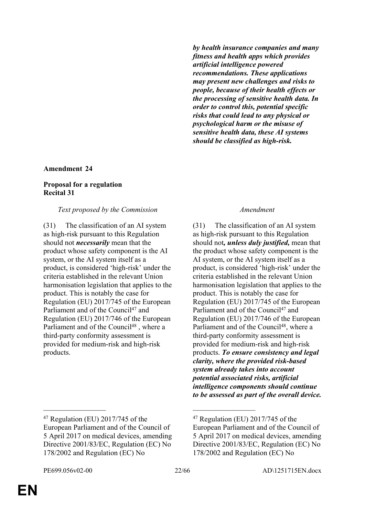*by health insurance companies and many fitness and health apps which provides artificial intelligence powered recommendations. These applications may present new challenges and risks to people, because of their health effects or the processing of sensitive health data. In order to control this, potential specific risks that could lead to any physical or psychological harm or the misuse of sensitive health data, these AI systems should be classified as high-risk.*

#### **Amendment 24**

#### **Proposal for a regulation Recital 31**

#### *Text proposed by the Commission Amendment*

(31) The classification of an AI system as high-risk pursuant to this Regulation should not *necessarily* mean that the product whose safety component is the AI system, or the AI system itself as a product, is considered 'high-risk' under the criteria established in the relevant Union harmonisation legislation that applies to the product. This is notably the case for Regulation (EU) 2017/745 of the European Parliament and of the Council<sup>47</sup> and Regulation (EU) 2017/746 of the European Parliament and of the Council<sup>48</sup>, where a third-party conformity assessment is provided for medium-risk and high-risk products.

(31) The classification of an AI system as high-risk pursuant to this Regulation should not*, unless duly justified,* mean that the product whose safety component is the AI system, or the AI system itself as a product, is considered 'high-risk' under the criteria established in the relevant Union harmonisation legislation that applies to the product. This is notably the case for Regulation (EU) 2017/745 of the European Parliament and of the Council<sup>47</sup> and Regulation (EU) 2017/746 of the European Parliament and of the Council<sup>48</sup>, where a third-party conformity assessment is provided for medium-risk and high-risk products. *To ensure consistency and legal clarity, where the provided risk-based system already takes into account potential associated risks, artificial intelligence components should continue to be assessed as part of the overall device.*

\_\_\_\_\_\_\_\_\_\_\_\_\_\_\_\_\_ \_\_\_\_\_\_\_\_\_\_\_\_\_\_\_\_\_

<sup>47</sup> Regulation (EU) 2017/745 of the European Parliament and of the Council of 5 April 2017 on medical devices, amending Directive 2001/83/EC, Regulation (EC) No 178/2002 and Regulation (EC) No

<sup>47</sup> Regulation (EU) 2017/745 of the European Parliament and of the Council of 5 April 2017 on medical devices, amending Directive 2001/83/EC, Regulation (EC) No 178/2002 and Regulation (EC) No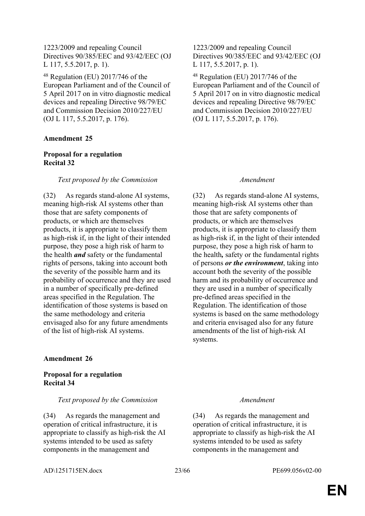1223/2009 and repealing Council Directives 90/385/EEC and 93/42/EEC (OJ L 117, 5.5.2017, p. 1).

<sup>48</sup> Regulation (EU) 2017/746 of the European Parliament and of the Council of 5 April 2017 on in vitro diagnostic medical devices and repealing Directive 98/79/EC and Commission Decision 2010/227/EU (OJ L 117, 5.5.2017, p. 176).

### **Amendment 25**

### **Proposal for a regulation Recital 32**

### *Text proposed by the Commission Amendment*

(32) As regards stand-alone AI systems, meaning high-risk AI systems other than those that are safety components of products, or which are themselves products, it is appropriate to classify them as high-risk if, in the light of their intended purpose, they pose a high risk of harm to the health *and* safety or the fundamental rights of persons, taking into account both the severity of the possible harm and its probability of occurrence and they are used in a number of specifically pre-defined areas specified in the Regulation. The identification of those systems is based on the same methodology and criteria envisaged also for any future amendments of the list of high-risk AI systems.

### **Amendment 26**

### **Proposal for a regulation Recital 34**

#### *Text proposed by the Commission Amendment*

(34) As regards the management and operation of critical infrastructure, it is appropriate to classify as high-risk the AI systems intended to be used as safety components in the management and

1223/2009 and repealing Council Directives 90/385/EEC and 93/42/EEC (OJ L 117, 5.5.2017, p. 1).

<sup>48</sup> Regulation (EU) 2017/746 of the European Parliament and of the Council of 5 April 2017 on in vitro diagnostic medical devices and repealing Directive 98/79/EC and Commission Decision 2010/227/EU (OJ L 117, 5.5.2017, p. 176).

(32) As regards stand-alone AI systems, meaning high-risk AI systems other than those that are safety components of products, or which are themselves products, it is appropriate to classify them as high-risk if, in the light of their intended purpose, they pose a high risk of harm to the health*,* safety or the fundamental rights of persons *or the environment*, taking into account both the severity of the possible harm and its probability of occurrence and they are used in a number of specifically pre-defined areas specified in the Regulation. The identification of those systems is based on the same methodology and criteria envisaged also for any future amendments of the list of high-risk AI systems.

(34) As regards the management and operation of critical infrastructure, it is appropriate to classify as high-risk the AI systems intended to be used as safety components in the management and

AD\1251715EN.docx 23/66 PE699.056v02-00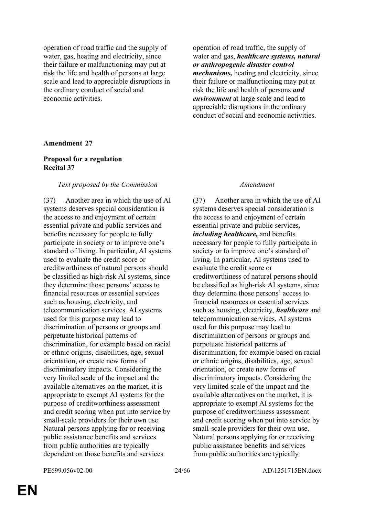operation of road traffic and the supply of water, gas, heating and electricity, since their failure or malfunctioning may put at risk the life and health of persons at large scale and lead to appreciable disruptions in the ordinary conduct of social and economic activities.

operation of road traffic, the supply of water and gas, *healthcare systems, natural or anthropogenic disaster control mechanisms,* heating and electricity, since their failure or malfunctioning may put at risk the life and health of persons *and environment* at large scale and lead to appreciable disruptions in the ordinary conduct of social and economic activities.

#### **Amendment 27**

### **Proposal for a regulation Recital 37**

#### *Text proposed by the Commission Amendment*

(37) Another area in which the use of AI systems deserves special consideration is the access to and enjoyment of certain essential private and public services and benefits necessary for people to fully participate in society or to improve one's standard of living. In particular, AI systems used to evaluate the credit score or creditworthiness of natural persons should be classified as high-risk AI systems, since they determine those persons' access to financial resources or essential services such as housing, electricity, and telecommunication services. AI systems used for this purpose may lead to discrimination of persons or groups and perpetuate historical patterns of discrimination, for example based on racial or ethnic origins, disabilities, age, sexual orientation, or create new forms of discriminatory impacts. Considering the very limited scale of the impact and the available alternatives on the market, it is appropriate to exempt AI systems for the purpose of creditworthiness assessment and credit scoring when put into service by small-scale providers for their own use. Natural persons applying for or receiving public assistance benefits and services from public authorities are typically dependent on those benefits and services

(37) Another area in which the use of AI systems deserves special consideration is the access to and enjoyment of certain essential private and public services*, including healthcare,* and benefits necessary for people to fully participate in society or to improve one's standard of living. In particular, AI systems used to evaluate the credit score or creditworthiness of natural persons should be classified as high-risk AI systems, since they determine those persons' access to financial resources or essential services such as housing, electricity, *healthcare* and telecommunication services. AI systems used for this purpose may lead to discrimination of persons or groups and perpetuate historical patterns of discrimination, for example based on racial or ethnic origins, disabilities, age, sexual orientation, or create new forms of discriminatory impacts. Considering the very limited scale of the impact and the available alternatives on the market, it is appropriate to exempt AI systems for the purpose of creditworthiness assessment and credit scoring when put into service by small-scale providers for their own use. Natural persons applying for or receiving public assistance benefits and services from public authorities are typically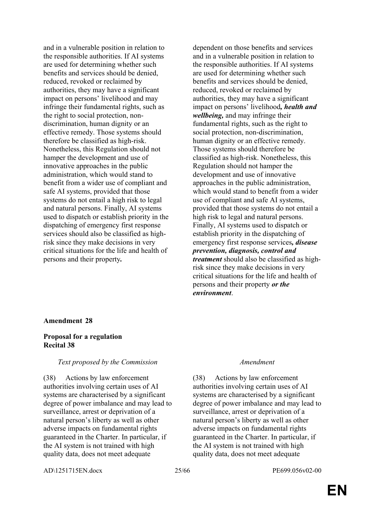and in a vulnerable position in relation to the responsible authorities. If AI systems are used for determining whether such benefits and services should be denied, reduced, revoked or reclaimed by authorities, they may have a significant impact on persons' livelihood and may infringe their fundamental rights, such as the right to social protection, nondiscrimination, human dignity or an effective remedy. Those systems should therefore be classified as high-risk. Nonetheless, this Regulation should not hamper the development and use of innovative approaches in the public administration, which would stand to benefit from a wider use of compliant and safe AI systems, provided that those systems do not entail a high risk to legal and natural persons. Finally, AI systems used to dispatch or establish priority in the dispatching of emergency first response services should also be classified as highrisk since they make decisions in very critical situations for the life and health of persons and their property*.*

dependent on those benefits and services and in a vulnerable position in relation to the responsible authorities. If AI systems are used for determining whether such benefits and services should be denied, reduced, revoked or reclaimed by authorities, they may have a significant impact on persons' livelihood*, health and wellbeing,* and may infringe their fundamental rights, such as the right to social protection, non-discrimination, human dignity or an effective remedy. Those systems should therefore be classified as high-risk. Nonetheless, this Regulation should not hamper the development and use of innovative approaches in the public administration, which would stand to benefit from a wider use of compliant and safe AI systems, provided that those systems do not entail a high risk to legal and natural persons. Finally, AI systems used to dispatch or establish priority in the dispatching of emergency first response services*, disease prevention, diagnosis, control and treatment* should also be classified as highrisk since they make decisions in very critical situations for the life and health of persons and their property *or the environment*.

#### **Amendment 28**

#### **Proposal for a regulation Recital 38**

#### *Text proposed by the Commission Amendment*

(38) Actions by law enforcement authorities involving certain uses of AI systems are characterised by a significant degree of power imbalance and may lead to surveillance, arrest or deprivation of a natural person's liberty as well as other adverse impacts on fundamental rights guaranteed in the Charter. In particular, if the AI system is not trained with high quality data, does not meet adequate

(38) Actions by law enforcement authorities involving certain uses of AI systems are characterised by a significant degree of power imbalance and may lead to surveillance, arrest or deprivation of a natural person's liberty as well as other adverse impacts on fundamental rights guaranteed in the Charter. In particular, if the AI system is not trained with high quality data, does not meet adequate

AD\1251715EN.docx 25/66 PE699.056v02-00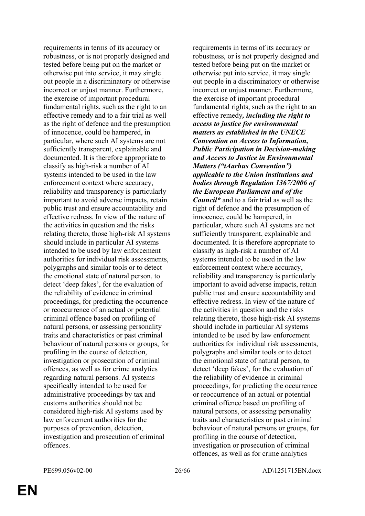requirements in terms of its accuracy or robustness, or is not properly designed and tested before being put on the market or otherwise put into service, it may single out people in a discriminatory or otherwise incorrect or unjust manner. Furthermore, the exercise of important procedural fundamental rights, such as the right to an effective remedy and to a fair trial as well as the right of defence and the presumption of innocence, could be hampered, in particular, where such AI systems are not sufficiently transparent, explainable and documented. It is therefore appropriate to classify as high-risk a number of AI systems intended to be used in the law enforcement context where accuracy, reliability and transparency is particularly important to avoid adverse impacts, retain public trust and ensure accountability and effective redress. In view of the nature of the activities in question and the risks relating thereto, those high-risk AI systems should include in particular AI systems intended to be used by law enforcement authorities for individual risk assessments, polygraphs and similar tools or to detect the emotional state of natural person, to detect 'deep fakes', for the evaluation of the reliability of evidence in criminal proceedings, for predicting the occurrence or reoccurrence of an actual or potential criminal offence based on profiling of natural persons, or assessing personality traits and characteristics or past criminal behaviour of natural persons or groups, for profiling in the course of detection, investigation or prosecution of criminal offences, as well as for crime analytics regarding natural persons. AI systems specifically intended to be used for administrative proceedings by tax and customs authorities should not be considered high-risk AI systems used by law enforcement authorities for the purposes of prevention, detection, investigation and prosecution of criminal offences.

requirements in terms of its accuracy or robustness, or is not properly designed and tested before being put on the market or otherwise put into service, it may single out people in a discriminatory or otherwise incorrect or unjust manner. Furthermore, the exercise of important procedural fundamental rights, such as the right to an effective remedy*, including the right to access to justice for environmental matters as established in the UNECE Convention on Access to Information, Public Participation in Decision-making and Access to Justice in Environmental Matters ("tAarhus Convention") applicable to the Union institutions and bodies through Regulation 1367/2006 of the European Parliament and of the Council\** and to a fair trial as well as the right of defence and the presumption of innocence, could be hampered, in particular, where such AI systems are not sufficiently transparent, explainable and documented. It is therefore appropriate to classify as high-risk a number of AI systems intended to be used in the law enforcement context where accuracy, reliability and transparency is particularly important to avoid adverse impacts, retain public trust and ensure accountability and effective redress. In view of the nature of the activities in question and the risks relating thereto, those high-risk AI systems should include in particular AI systems intended to be used by law enforcement authorities for individual risk assessments, polygraphs and similar tools or to detect the emotional state of natural person, to detect 'deep fakes', for the evaluation of the reliability of evidence in criminal proceedings, for predicting the occurrence or reoccurrence of an actual or potential criminal offence based on profiling of natural persons, or assessing personality traits and characteristics or past criminal behaviour of natural persons or groups, for profiling in the course of detection, investigation or prosecution of criminal offences, as well as for crime analytics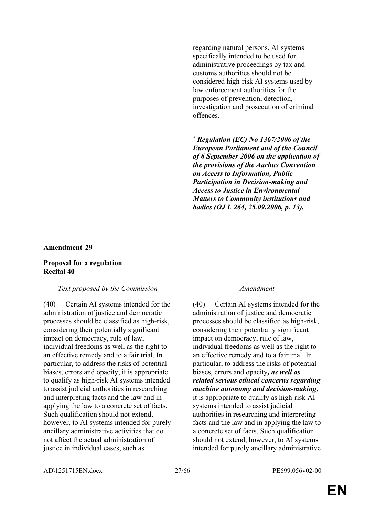regarding natural persons. AI systems specifically intended to be used for administrative proceedings by tax and customs authorities should not be considered high-risk AI systems used by law enforcement authorities for the purposes of prevention, detection, investigation and prosecution of criminal offences.

*\* Regulation (EC) No 1367/2006 of the European Parliament and of the Council of 6 September 2006 on the application of the provisions of the Aarhus Convention on Access to Information, Public Participation in Decision-making and Access to Justice in Environmental Matters to Community institutions and bodies (OJ L 264, 25.09.2006, p. 13).*

#### **Amendment 29**

#### **Proposal for a regulation Recital 40**

#### *Text proposed by the Commission Amendment*

\_\_\_\_\_\_\_\_\_\_\_\_\_\_\_\_\_ \_\_\_\_\_\_\_\_\_\_\_\_\_\_\_\_\_

(40) Certain AI systems intended for the administration of justice and democratic processes should be classified as high-risk, considering their potentially significant impact on democracy, rule of law, individual freedoms as well as the right to an effective remedy and to a fair trial. In particular, to address the risks of potential biases, errors and opacity, it is appropriate to qualify as high-risk AI systems intended to assist judicial authorities in researching and interpreting facts and the law and in applying the law to a concrete set of facts. Such qualification should not extend, however, to AI systems intended for purely ancillary administrative activities that do not affect the actual administration of justice in individual cases, such as

(40) Certain AI systems intended for the administration of justice and democratic processes should be classified as high-risk, considering their potentially significant impact on democracy, rule of law, individual freedoms as well as the right to an effective remedy and to a fair trial. In particular, to address the risks of potential biases, errors and opacity*, as well as related serious ethical concerns regarding machine autonomy and decision-making*, it is appropriate to qualify as high-risk AI systems intended to assist judicial authorities in researching and interpreting facts and the law and in applying the law to a concrete set of facts. Such qualification should not extend, however, to AI systems intended for purely ancillary administrative

AD\1251715EN.docx 27/66 PE699.056v02-00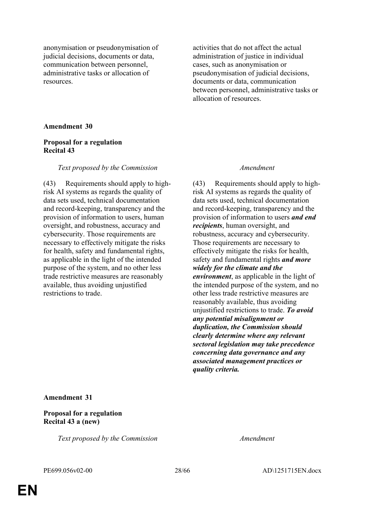anonymisation or pseudonymisation of judicial decisions, documents or data, communication between personnel, administrative tasks or allocation of resources.

activities that do not affect the actual administration of justice in individual cases, such as anonymisation or pseudonymisation of judicial decisions, documents or data, communication between personnel, administrative tasks or allocation of resources.

#### **Amendment 30**

#### **Proposal for a regulation Recital 43**

#### *Text proposed by the Commission Amendment*

(43) Requirements should apply to highrisk AI systems as regards the quality of data sets used, technical documentation and record-keeping, transparency and the provision of information to users, human oversight, and robustness, accuracy and cybersecurity. Those requirements are necessary to effectively mitigate the risks for health, safety and fundamental rights, as applicable in the light of the intended purpose of the system, and no other less trade restrictive measures are reasonably available, thus avoiding unjustified restrictions to trade.

(43) Requirements should apply to highrisk AI systems as regards the quality of data sets used, technical documentation and record-keeping, transparency and the provision of information to users *and end recipients*, human oversight, and robustness, accuracy and cybersecurity. Those requirements are necessary to effectively mitigate the risks for health, safety and fundamental rights *and more widely for the climate and the environment*, as applicable in the light of the intended purpose of the system, and no other less trade restrictive measures are reasonably available, thus avoiding unjustified restrictions to trade. *To avoid any potential misalignment or duplication, the Commission should clearly determine where any relevant sectoral legislation may take precedence concerning data governance and any associated management practices or quality criteria.*

**Amendment 31**

### **Proposal for a regulation Recital 43 a (new)**

*Text proposed by the Commission Amendment*

PE699.056v02-00 28/66 AD\1251715EN.docx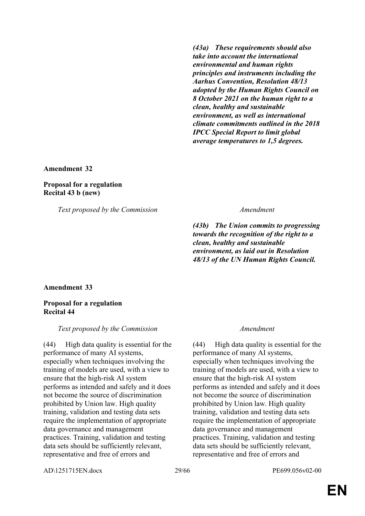*(43a) These requirements should also take into account the international environmental and human rights principles and instruments including the Aarhus Convention, Resolution 48/13 adopted by the Human Rights Council on 8 October 2021 on the human right to a clean, healthy and sustainable environment, as well as international climate commitments outlined in the 2018 IPCC Special Report to limit global average temperatures to 1,5 degrees.*

**Amendment 32**

**Proposal for a regulation Recital 43 b (new)**

*Text proposed by the Commission Amendment*

*(43b) The Union commits to progressing towards the recognition of the right to a clean, healthy and sustainable environment, as laid out in Resolution 48/13 of the UN Human Rights Council.*

**Amendment 33**

### **Proposal for a regulation Recital 44**

### *Text proposed by the Commission Amendment*

(44) High data quality is essential for the performance of many AI systems, especially when techniques involving the training of models are used, with a view to ensure that the high-risk AI system performs as intended and safely and it does not become the source of discrimination prohibited by Union law. High quality training, validation and testing data sets require the implementation of appropriate data governance and management practices. Training, validation and testing data sets should be sufficiently relevant, representative and free of errors and

(44) High data quality is essential for the performance of many AI systems, especially when techniques involving the training of models are used, with a view to ensure that the high-risk AI system performs as intended and safely and it does not become the source of discrimination prohibited by Union law. High quality training, validation and testing data sets require the implementation of appropriate data governance and management practices. Training, validation and testing data sets should be sufficiently relevant, representative and free of errors and

AD\1251715EN.docx 29/66 PE699.056v02-00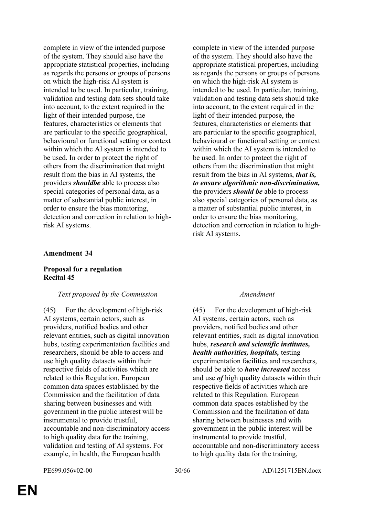complete in view of the intended purpose of the system. They should also have the appropriate statistical properties, including as regards the persons or groups of persons on which the high-risk AI system is intended to be used. In particular, training, validation and testing data sets should take into account, to the extent required in the light of their intended purpose, the features, characteristics or elements that are particular to the specific geographical, behavioural or functional setting or context within which the AI system is intended to be used. In order to protect the right of others from the discrimination that might result from the bias in AI systems, the providers *shouldbe* able to process also special categories of personal data, as a matter of substantial public interest, in order to ensure the bias monitoring, detection and correction in relation to highrisk AI systems.

#### **Amendment 34**

#### **Proposal for a regulation Recital 45**

#### *Text proposed by the Commission Amendment*

(45) For the development of high-risk AI systems, certain actors, such as providers, notified bodies and other relevant entities, such as digital innovation hubs, testing experimentation facilities and researchers, should be able to access and use high quality datasets within their respective fields of activities which are related to this Regulation. European common data spaces established by the Commission and the facilitation of data sharing between businesses and with government in the public interest will be instrumental to provide trustful, accountable and non-discriminatory access to high quality data for the training, validation and testing of AI systems. For example, in health, the European health

complete in view of the intended purpose of the system. They should also have the appropriate statistical properties, including as regards the persons or groups of persons on which the high-risk AI system is intended to be used. In particular, training, validation and testing data sets should take into account, to the extent required in the light of their intended purpose, the features, characteristics or elements that are particular to the specific geographical, behavioural or functional setting or context within which the AI system is intended to be used. In order to protect the right of others from the discrimination that might result from the bias in AI systems, *that is, to ensure algorithmic non-discrimination,* the providers *should be* able to process also special categories of personal data, as a matter of substantial public interest, in order to ensure the bias monitoring, detection and correction in relation to highrisk AI systems.

(45) For the development of high-risk AI systems, certain actors, such as providers, notified bodies and other relevant entities, such as digital innovation hubs, *research and scientific institutes, health authorities, hospitals,* testing experimentation facilities and researchers, should be able to *have increased* access and use *of* high quality datasets within their respective fields of activities which are related to this Regulation. European common data spaces established by the Commission and the facilitation of data sharing between businesses and with government in the public interest will be instrumental to provide trustful, accountable and non-discriminatory access to high quality data for the training,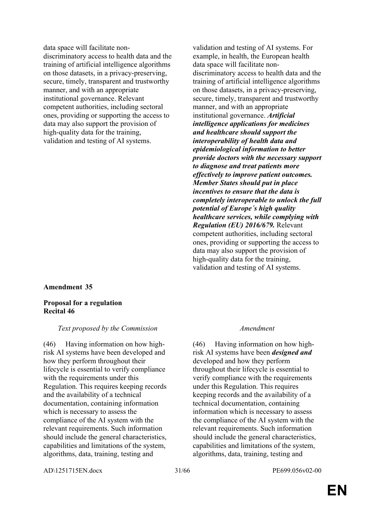data space will facilitate nondiscriminatory access to health data and the training of artificial intelligence algorithms on those datasets, in a privacy-preserving, secure, timely, transparent and trustworthy manner, and with an appropriate institutional governance. Relevant competent authorities, including sectoral ones, providing or supporting the access to data may also support the provision of high-quality data for the training, validation and testing of AI systems.

#### **Amendment 35**

#### **Proposal for a regulation Recital 46**

#### *Text proposed by the Commission Amendment*

(46) Having information on how highrisk AI systems have been developed and how they perform throughout their lifecycle is essential to verify compliance with the requirements under this Regulation. This requires keeping records and the availability of a technical documentation, containing information which is necessary to assess the compliance of the AI system with the relevant requirements. Such information should include the general characteristics, capabilities and limitations of the system, algorithms, data, training, testing and

validation and testing of AI systems. For example, in health, the European health data space will facilitate nondiscriminatory access to health data and the training of artificial intelligence algorithms on those datasets, in a privacy-preserving, secure, timely, transparent and trustworthy manner, and with an appropriate institutional governance. *Artificial intelligence applications for medicines and healthcare should support the interoperability of health data and epidemiological information to better provide doctors with the necessary support to diagnose and treat patients more effectively to improve patient outcomes. Member States should put in place incentives to ensure that the data is completely interoperable to unlock the full potential of Europe´s high quality healthcare services, while complying with Regulation (EU) 2016/679.* Relevant competent authorities, including sectoral ones, providing or supporting the access to data may also support the provision of high-quality data for the training, validation and testing of AI systems.

(46) Having information on how highrisk AI systems have been *designed and* developed and how they perform throughout their lifecycle is essential to verify compliance with the requirements under this Regulation. This requires keeping records and the availability of a technical documentation, containing information which is necessary to assess the compliance of the AI system with the relevant requirements. Such information should include the general characteristics, capabilities and limitations of the system, algorithms, data, training, testing and

AD\1251715EN.docx 31/66 PE699.056v02-00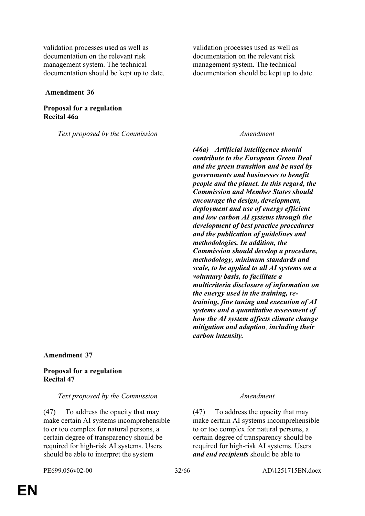validation processes used as well as documentation on the relevant risk management system. The technical documentation should be kept up to date.

 **Amendment 36**

#### **Proposal for a regulation Recital 46a**

*Text proposed by the Commission Amendment*

validation processes used as well as documentation on the relevant risk management system. The technical documentation should be kept up to date.

*(46a) Artificial intelligence should contribute to the European Green Deal and the green transition and be used by governments and businesses to benefit people and the planet. In this regard, the Commission and Member States should encourage the design, development, deployment and use of energy efficient and low carbon AI systems through the development of best practice procedures and the publication of guidelines and methodologies. In addition, the Commission should develop a procedure, methodology, minimum standards and scale, to be applied to all AI systems on a voluntary basis, to facilitate a multicriteria disclosure of information on the energy used in the training, retraining, fine tuning and execution of AI systems and a quantitative assessment of how the AI system affects climate change mitigation and adaption, including their carbon intensity.*

**Amendment 37**

### **Proposal for a regulation Recital 47**

#### *Text proposed by the Commission Amendment*

(47) To address the opacity that may make certain AI systems incomprehensible to or too complex for natural persons, a certain degree of transparency should be required for high-risk AI systems. Users should be able to interpret the system

(47) To address the opacity that may make certain AI systems incomprehensible to or too complex for natural persons, a certain degree of transparency should be required for high-risk AI systems. Users *and end recipients* should be able to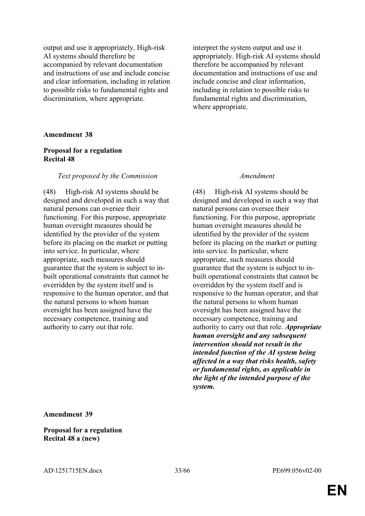output and use it appropriately. High-risk AI systems should therefore be accompanied by relevant documentation and instructions of use and include concise and clear information, including in relation to possible risks to fundamental rights and discrimination, where appropriate.

interpret the system output and use it appropriately. High-risk AI systems should therefore be accompanied by relevant documentation and instructions of use and include concise and clear information, including in relation to possible risks to fundamental rights and discrimination, where appropriate.

#### **Amendment 38**

#### **Proposal for a regulation Recital 48**

#### *Text proposed by the Commission Amendment*

(48) High-risk AI systems should be designed and developed in such a way that natural persons can oversee their functioning. For this purpose, appropriate human oversight measures should be identified by the provider of the system before its placing on the market or putting into service. In particular, where appropriate, such measures should guarantee that the system is subject to inbuilt operational constraints that cannot be overridden by the system itself and is responsive to the human operator, and that the natural persons to whom human oversight has been assigned have the necessary competence, training and authority to carry out that role.

(48) High-risk AI systems should be designed and developed in such a way that natural persons can oversee their functioning. For this purpose, appropriate human oversight measures should be identified by the provider of the system before its placing on the market or putting into service. In particular, where appropriate, such measures should guarantee that the system is subject to inbuilt operational constraints that cannot be overridden by the system itself and is responsive to the human operator, and that the natural persons to whom human oversight has been assigned have the necessary competence, training and authority to carry out that role. *Appropriate human oversight and any subsequent intervention should not result in the intended function of the AI system being affected in a way that risks health, safety or fundamental rights, as applicable in the light of the intended purpose of the system.*

**Amendment 39**

**Proposal for a regulation Recital 48 a (new)**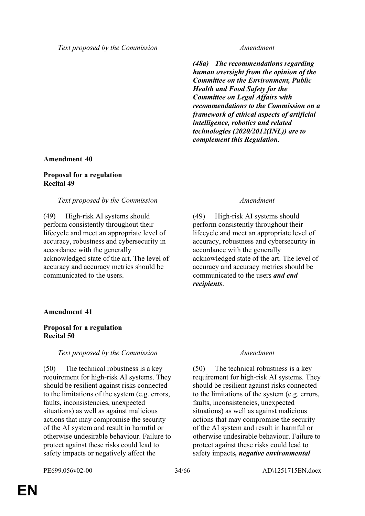*(48a) The recommendations regarding human oversight from the opinion of the Committee on the Environment, Public Health and Food Safety for the Committee on Legal Affairs with recommendations to the Commission on a framework of ethical aspects of artificial intelligence, robotics and related technologies (2020/2012(INL)) are to complement this Regulation.*

#### **Amendment 40**

#### **Proposal for a regulation Recital 49**

#### *Text proposed by the Commission Amendment*

(49) High-risk AI systems should perform consistently throughout their lifecycle and meet an appropriate level of accuracy, robustness and cybersecurity in accordance with the generally acknowledged state of the art. The level of accuracy and accuracy metrics should be communicated to the users.

(49) High-risk AI systems should perform consistently throughout their lifecycle and meet an appropriate level of accuracy, robustness and cybersecurity in accordance with the generally acknowledged state of the art. The level of accuracy and accuracy metrics should be communicated to the users *and end recipients*.

#### **Amendment 41**

#### **Proposal for a regulation Recital 50**

#### *Text proposed by the Commission Amendment*

(50) The technical robustness is a key requirement for high-risk AI systems. They should be resilient against risks connected to the limitations of the system (e.g. errors, faults, inconsistencies, unexpected situations) as well as against malicious actions that may compromise the security of the AI system and result in harmful or otherwise undesirable behaviour. Failure to protect against these risks could lead to safety impacts or negatively affect the

(50) The technical robustness is a key requirement for high-risk AI systems. They should be resilient against risks connected to the limitations of the system (e.g. errors, faults, inconsistencies, unexpected situations) as well as against malicious actions that may compromise the security of the AI system and result in harmful or otherwise undesirable behaviour. Failure to protect against these risks could lead to safety impacts*, negative environmental*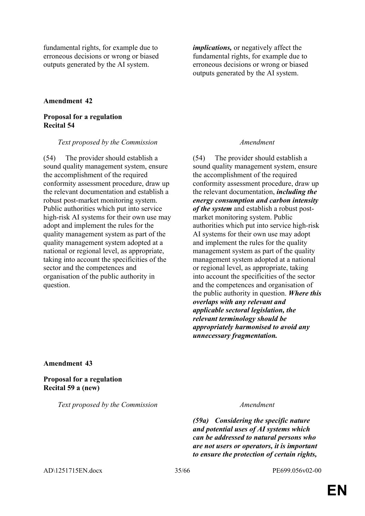fundamental rights, for example due to erroneous decisions or wrong or biased outputs generated by the AI system.

*implications,* or negatively affect the fundamental rights, for example due to erroneous decisions or wrong or biased outputs generated by the AI system.

### **Amendment 42**

### **Proposal for a regulation Recital 54**

#### *Text proposed by the Commission Amendment*

(54) The provider should establish a sound quality management system, ensure the accomplishment of the required conformity assessment procedure, draw up the relevant documentation and establish a robust post-market monitoring system. Public authorities which put into service high-risk AI systems for their own use may adopt and implement the rules for the quality management system as part of the quality management system adopted at a national or regional level, as appropriate, taking into account the specificities of the sector and the competences and organisation of the public authority in question.

(54) The provider should establish a sound quality management system, ensure the accomplishment of the required conformity assessment procedure, draw up the relevant documentation, *including the energy consumption and carbon intensity of the system* and establish a robust postmarket monitoring system. Public authorities which put into service high-risk AI systems for their own use may adopt and implement the rules for the quality management system as part of the quality management system adopted at a national or regional level, as appropriate, taking into account the specificities of the sector and the competences and organisation of the public authority in question. *Where this overlaps with any relevant and applicable sectoral legislation, the relevant terminology should be appropriately harmonised to avoid any unnecessary fragmentation.*

#### **Amendment 43**

**Proposal for a regulation Recital 59 a (new)**

*Text proposed by the Commission Amendment*

*(59a) Considering the specific nature and potential uses of AI systems which can be addressed to natural persons who are not users or operators, it is important to ensure the protection of certain rights,* 

AD\1251715EN.docx 35/66 PE699.056v02-00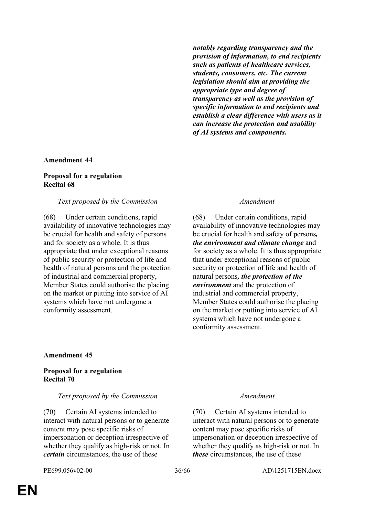*notably regarding transparency and the provision of information, to end recipients such as patients of healthcare services, students, consumers, etc. The current legislation should aim at providing the appropriate type and degree of transparency as well as the provision of specific information to end recipients and establish a clear difference with users as it can increase the protection and usability of AI systems and components.*

#### **Amendment 44**

#### **Proposal for a regulation Recital 68**

#### *Text proposed by the Commission Amendment*

(68) Under certain conditions, rapid availability of innovative technologies may be crucial for health and safety of persons and for society as a whole. It is thus appropriate that under exceptional reasons of public security or protection of life and health of natural persons and the protection of industrial and commercial property, Member States could authorise the placing on the market or putting into service of AI systems which have not undergone a conformity assessment.

(68) Under certain conditions, rapid availability of innovative technologies may be crucial for health and safety of persons*, the environment and climate change* and for society as a whole. It is thus appropriate that under exceptional reasons of public security or protection of life and health of natural persons*, the protection of the environment* and the protection of industrial and commercial property, Member States could authorise the placing on the market or putting into service of AI systems which have not undergone a conformity assessment.

#### **Amendment 45**

#### **Proposal for a regulation Recital 70**

#### *Text proposed by the Commission Amendment*

(70) Certain AI systems intended to interact with natural persons or to generate content may pose specific risks of impersonation or deception irrespective of whether they qualify as high-risk or not. In *certain* circumstances, the use of these

(70) Certain AI systems intended to interact with natural persons or to generate content may pose specific risks of impersonation or deception irrespective of whether they qualify as high-risk or not. In *these* circumstances, the use of these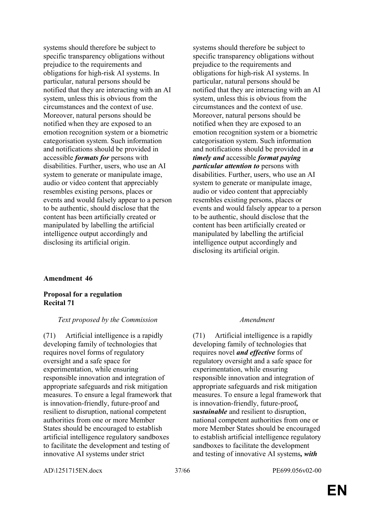systems should therefore be subject to specific transparency obligations without prejudice to the requirements and obligations for high-risk AI systems. In particular, natural persons should be notified that they are interacting with an AI system, unless this is obvious from the circumstances and the context of use. Moreover, natural persons should be notified when they are exposed to an emotion recognition system or a biometric categorisation system. Such information and notifications should be provided in accessible *formats for* persons with disabilities. Further, users, who use an AI system to generate or manipulate image, audio or video content that appreciably resembles existing persons, places or events and would falsely appear to a person to be authentic, should disclose that the content has been artificially created or manipulated by labelling the artificial intelligence output accordingly and disclosing its artificial origin.

systems should therefore be subject to specific transparency obligations without prejudice to the requirements and obligations for high-risk AI systems. In particular, natural persons should be notified that they are interacting with an AI system, unless this is obvious from the circumstances and the context of use. Moreover, natural persons should be notified when they are exposed to an emotion recognition system or a biometric categorisation system. Such information and notifications should be provided in *a timely and* accessible *format paying particular attention to* persons with disabilities. Further, users, who use an AI system to generate or manipulate image, audio or video content that appreciably resembles existing persons, places or events and would falsely appear to a person to be authentic, should disclose that the content has been artificially created or manipulated by labelling the artificial intelligence output accordingly and disclosing its artificial origin.

#### **Amendment 46**

**Proposal for a regulation Recital 71**

#### *Text proposed by the Commission Amendment*

(71) Artificial intelligence is a rapidly developing family of technologies that requires novel forms of regulatory oversight and a safe space for experimentation, while ensuring responsible innovation and integration of appropriate safeguards and risk mitigation measures. To ensure a legal framework that is innovation-friendly, future-proof and resilient to disruption, national competent authorities from one or more Member States should be encouraged to establish artificial intelligence regulatory sandboxes to facilitate the development and testing of innovative AI systems under strict

(71) Artificial intelligence is a rapidly developing family of technologies that requires novel *and effective* forms of regulatory oversight and a safe space for experimentation, while ensuring responsible innovation and integration of appropriate safeguards and risk mitigation measures. To ensure a legal framework that is innovation-friendly, future-proof*, sustainable* and resilient to disruption, national competent authorities from one or more Member States should be encouraged to establish artificial intelligence regulatory sandboxes to facilitate the development and testing of innovative AI systems*, with* 

AD\1251715EN.docx 37/66 PE699.056v02-00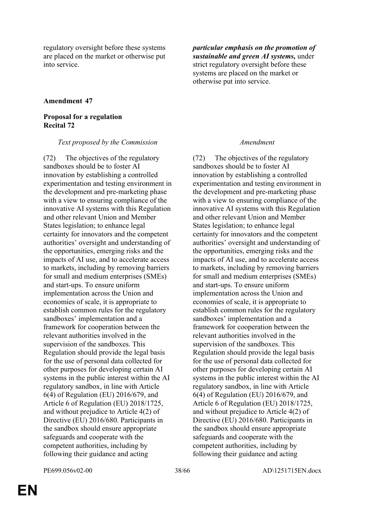regulatory oversight before these systems are placed on the market or otherwise put into service.

*particular emphasis on the promotion of sustainable and green AI systems,* under strict regulatory oversight before these systems are placed on the market or otherwise put into service.

### **Amendment 47**

### **Proposal for a regulation Recital 72**

#### *Text proposed by the Commission Amendment*

(72) The objectives of the regulatory sandboxes should be to foster AI innovation by establishing a controlled experimentation and testing environment in the development and pre-marketing phase with a view to ensuring compliance of the innovative AI systems with this Regulation and other relevant Union and Member States legislation; to enhance legal certainty for innovators and the competent authorities' oversight and understanding of the opportunities, emerging risks and the impacts of AI use, and to accelerate access to markets, including by removing barriers for small and medium enterprises (SMEs) and start-ups. To ensure uniform implementation across the Union and economies of scale, it is appropriate to establish common rules for the regulatory sandboxes' implementation and a framework for cooperation between the relevant authorities involved in the supervision of the sandboxes. This Regulation should provide the legal basis for the use of personal data collected for other purposes for developing certain AI systems in the public interest within the AI regulatory sandbox, in line with Article 6(4) of Regulation (EU) 2016/679, and Article 6 of Regulation (EU) 2018/1725, and without prejudice to Article 4(2) of Directive (EU) 2016/680. Participants in the sandbox should ensure appropriate safeguards and cooperate with the competent authorities, including by following their guidance and acting

(72) The objectives of the regulatory sandboxes should be to foster AI innovation by establishing a controlled experimentation and testing environment in the development and pre-marketing phase with a view to ensuring compliance of the innovative AI systems with this Regulation and other relevant Union and Member States legislation; to enhance legal certainty for innovators and the competent authorities' oversight and understanding of the opportunities, emerging risks and the impacts of AI use, and to accelerate access to markets, including by removing barriers for small and medium enterprises (SMEs) and start-ups. To ensure uniform implementation across the Union and economies of scale, it is appropriate to establish common rules for the regulatory sandboxes' implementation and a framework for cooperation between the relevant authorities involved in the supervision of the sandboxes. This Regulation should provide the legal basis for the use of personal data collected for other purposes for developing certain AI systems in the public interest within the AI regulatory sandbox, in line with Article 6(4) of Regulation (EU) 2016/679, and Article 6 of Regulation (EU) 2018/1725, and without prejudice to Article 4(2) of Directive (EU) 2016/680. Participants in the sandbox should ensure appropriate safeguards and cooperate with the competent authorities, including by following their guidance and acting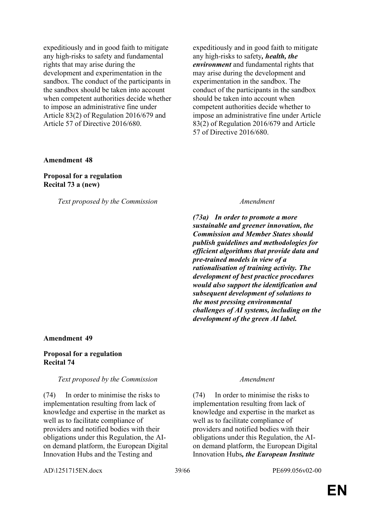expeditiously and in good faith to mitigate any high-risks to safety and fundamental rights that may arise during the development and experimentation in the sandbox. The conduct of the participants in the sandbox should be taken into account when competent authorities decide whether to impose an administrative fine under Article 83(2) of Regulation 2016/679 and Article 57 of Directive 2016/680.

expeditiously and in good faith to mitigate any high-risks to safety*, health, the environment* and fundamental rights that may arise during the development and experimentation in the sandbox. The conduct of the participants in the sandbox should be taken into account when competent authorities decide whether to impose an administrative fine under Article 83(2) of Regulation 2016/679 and Article 57 of Directive 2016/680.

#### **Amendment 48**

#### **Proposal for a regulation Recital 73 a (new)**

*Text proposed by the Commission Amendment*

*(73a) In order to promote a more sustainable and greener innovation, the Commission and Member States should publish guidelines and methodologies for efficient algorithms that provide data and pre-trained models in view of a rationalisation of training activity. The development of best practice procedures would also support the identification and subsequent development of solutions to the most pressing environmental challenges of AI systems, including on the development of the green AI label.*

#### **Amendment 49**

#### **Proposal for a regulation Recital 74**

#### *Text proposed by the Commission Amendment*

(74) In order to minimise the risks to implementation resulting from lack of knowledge and expertise in the market as well as to facilitate compliance of providers and notified bodies with their obligations under this Regulation, the AIon demand platform, the European Digital Innovation Hubs and the Testing and

(74) In order to minimise the risks to implementation resulting from lack of knowledge and expertise in the market as well as to facilitate compliance of providers and notified bodies with their obligations under this Regulation, the AIon demand platform, the European Digital Innovation Hubs*, the European Institute* 

AD\1251715EN.docx 39/66 PE699.056v02-00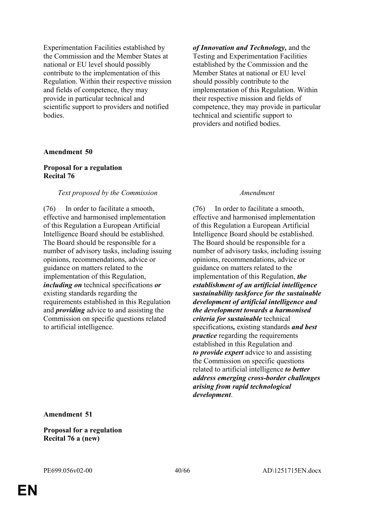Experimentation Facilities established by the Commission and the Member States at national or EU level should possibly contribute to the implementation of this Regulation. Within their respective mission and fields of competence, they may provide in particular technical and scientific support to providers and notified bodies.

#### **Amendment 50**

#### **Proposal for a regulation Recital 76**

#### *Text proposed by the Commission Amendment*

(76) In order to facilitate a smooth, effective and harmonised implementation of this Regulation a European Artificial Intelligence Board should be established. The Board should be responsible for a number of advisory tasks, including issuing opinions, recommendations, advice or guidance on matters related to the implementation of this Regulation, *including on* technical specifications *or* existing standards regarding the requirements established in this Regulation and *providing* advice to and assisting the Commission on specific questions related to artificial intelligence.

*of Innovation and Technology,* and the Testing and Experimentation Facilities established by the Commission and the Member States at national or EU level should possibly contribute to the implementation of this Regulation. Within their respective mission and fields of competence, they may provide in particular technical and scientific support to providers and notified bodies.

(76) In order to facilitate a smooth, effective and harmonised implementation of this Regulation a European Artificial Intelligence Board should be established. The Board should be responsible for a number of advisory tasks, including issuing opinions, recommendations, advice or guidance on matters related to the implementation of this Regulation, *the establishment of an artificial intelligence sustainability taskforce for the sustainable development of artificial intelligence and the development towards a harmonised criteria for sustainable* technical specifications*,* existing standards *and best practice* regarding the requirements established in this Regulation and *to provide expert* advice to and assisting the Commission on specific questions related to artificial intelligence *to better address emerging cross-border challenges arising from rapid technological development*.

**Amendment 51**

**Proposal for a regulation Recital 76 a (new)**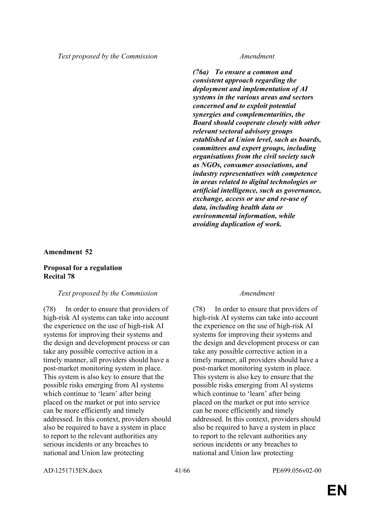*(76a) To ensure a common and consistent approach regarding the deployment and implementation of AI systems in the various areas and sectors concerned and to exploit potential synergies and complementarities, the Board should cooperate closely with other relevant sectoral advisory groups established at Union level, such as boards, committees and expert groups, including organisations from the civil society such as NGOs, consumer associations, and industry representatives with competence in areas related to digital technologies or artificial intelligence, such as governance, exchange, access or use and re-use of data, including health data or environmental information, while avoiding duplication of work.*

### **Amendment 52**

### **Proposal for a regulation Recital 78**

#### *Text proposed by the Commission Amendment*

(78) In order to ensure that providers of high-risk AI systems can take into account the experience on the use of high-risk AI systems for improving their systems and the design and development process or can take any possible corrective action in a timely manner, all providers should have a post-market monitoring system in place. This system is also key to ensure that the possible risks emerging from AI systems which continue to 'learn' after being placed on the market or put into service can be more efficiently and timely addressed. In this context, providers should also be required to have a system in place to report to the relevant authorities any serious incidents or any breaches to national and Union law protecting

(78) In order to ensure that providers of high-risk AI systems can take into account the experience on the use of high-risk AI systems for improving their systems and the design and development process or can take any possible corrective action in a timely manner, all providers should have a post-market monitoring system in place. This system is also key to ensure that the possible risks emerging from AI systems which continue to 'learn' after being placed on the market or put into service can be more efficiently and timely addressed. In this context, providers should also be required to have a system in place to report to the relevant authorities any serious incidents or any breaches to national and Union law protecting

AD\1251715EN.docx 41/66 PE699.056v02-00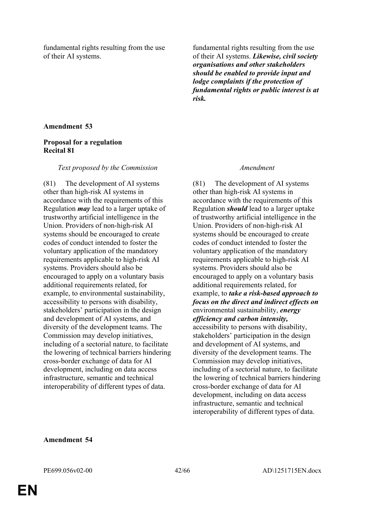fundamental rights resulting from the use of their AI systems.

fundamental rights resulting from the use of their AI systems. *Likewise, civil society organisations and other stakeholders should be enabled to provide input and lodge complaints if the protection of fundamental rights or public interest is at risk.*

### **Amendment 53**

#### **Proposal for a regulation Recital 81**

#### *Text proposed by the Commission Amendment*

(81) The development of AI systems other than high-risk AI systems in accordance with the requirements of this Regulation *may* lead to a larger uptake of trustworthy artificial intelligence in the Union. Providers of non-high-risk AI systems should be encouraged to create codes of conduct intended to foster the voluntary application of the mandatory requirements applicable to high-risk AI systems. Providers should also be encouraged to apply on a voluntary basis additional requirements related, for example, to environmental sustainability, accessibility to persons with disability, stakeholders' participation in the design and development of AI systems, and diversity of the development teams. The Commission may develop initiatives, including of a sectorial nature, to facilitate the lowering of technical barriers hindering cross-border exchange of data for AI development, including on data access infrastructure, semantic and technical interoperability of different types of data.

(81) The development of AI systems other than high-risk AI systems in accordance with the requirements of this Regulation *should* lead to a larger uptake of trustworthy artificial intelligence in the Union. Providers of non-high-risk AI systems should be encouraged to create codes of conduct intended to foster the voluntary application of the mandatory requirements applicable to high-risk AI systems. Providers should also be encouraged to apply on a voluntary basis additional requirements related, for example, to *take a risk-based approach to focus on the direct and indirect effects on* environmental sustainability, *energy efficiency and carbon intensity,*  accessibility to persons with disability, stakeholders' participation in the design and development of AI systems, and diversity of the development teams. The Commission may develop initiatives, including of a sectorial nature, to facilitate the lowering of technical barriers hindering cross-border exchange of data for AI development, including on data access infrastructure, semantic and technical interoperability of different types of data.

#### **Amendment 54**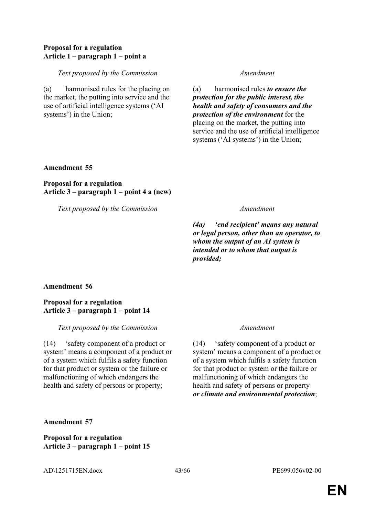### **Proposal for a regulation Article 1 – paragraph 1 – point a**

#### *Text proposed by the Commission Amendment*

(a) harmonised rules for the placing on the market, the putting into service and the use of artificial intelligence systems ('AI systems') in the Union;

(a) harmonised rules *to ensure the protection for the public interest, the health and safety of consumers and the protection of the environment* for the placing on the market, the putting into service and the use of artificial intelligence systems ('AI systems') in the Union;

### **Amendment 55**

**Proposal for a regulation Article 3 – paragraph 1 – point 4 a (new)**

*Text proposed by the Commission Amendment*

*(4a) 'end recipient' means any natural or legal person, other than an operator, to whom the output of an AI system is intended or to whom that output is provided;*

### **Amendment 56**

### **Proposal for a regulation Article 3 – paragraph 1 – point 14**

#### *Text proposed by the Commission Amendment*

(14) 'safety component of a product or system' means a component of a product or of a system which fulfils a safety function for that product or system or the failure or malfunctioning of which endangers the health and safety of persons or property;

(14) 'safety component of a product or system' means a component of a product or of a system which fulfils a safety function for that product or system or the failure or malfunctioning of which endangers the health and safety of persons or property *or climate and environmental protection*;

#### **Amendment 57**

**Proposal for a regulation Article 3 – paragraph 1 – point 15**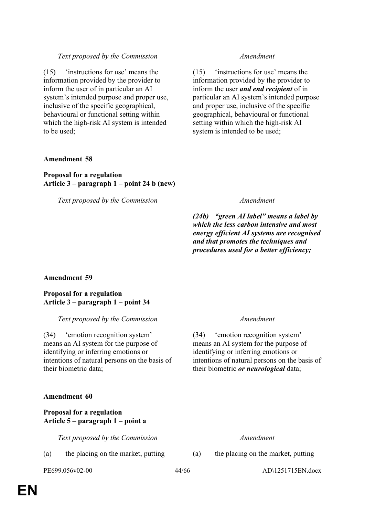(15) 'instructions for use' means the information provided by the provider to inform the user of in particular an AI system's intended purpose and proper use, inclusive of the specific geographical, behavioural or functional setting within which the high-risk AI system is intended to be used;

(15) 'instructions for use' means the information provided by the provider to inform the user *and end recipient* of in particular an AI system's intended purpose and proper use, inclusive of the specific geographical, behavioural or functional setting within which the high-risk AI system is intended to be used;

### **Amendment 58**

### **Proposal for a regulation Article 3 – paragraph 1 – point 24 b (new)**

*Text proposed by the Commission Amendment*

*(24b) "green AI label" means a label by which the less carbon intensive and most energy efficient AI systems are recognised and that promotes the techniques and procedures used for a better efficiency;*

### **Amendment 59**

### **Proposal for a regulation Article 3 – paragraph 1 – point 34**

### *Text proposed by the Commission Amendment*

(34) 'emotion recognition system' means an AI system for the purpose of identifying or inferring emotions or intentions of natural persons on the basis of their biometric data;

### **Amendment 60**

### **Proposal for a regulation Article 5 – paragraph 1 – point a**

*Text proposed by the Commission Amendment*

(a) the placing on the market, putting (a) the placing on the market, putting

(34) 'emotion recognition system' means an AI system for the purpose of identifying or inferring emotions or intentions of natural persons on the basis of their biometric *or neurological* data;

PE699.056v02-00 44/66 AD\1251715EN.docx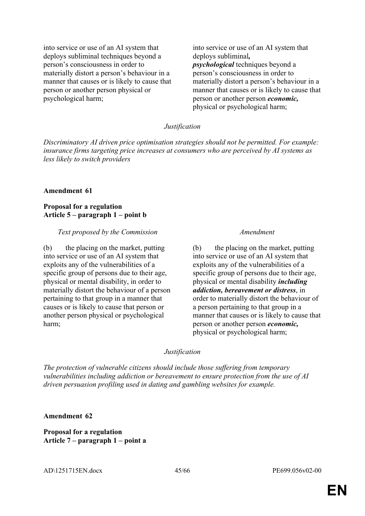into service or use of an AI system that deploys subliminal techniques beyond a person's consciousness in order to materially distort a person's behaviour in a manner that causes or is likely to cause that person or another person physical or psychological harm;

into service or use of an AI system that deploys subliminal*, psychological* techniques beyond a person's consciousness in order to materially distort a person's behaviour in a manner that causes or is likely to cause that person or another person *economic,* physical or psychological harm;

#### *Justification*

*Discriminatory AI driven price optimisation strategies should not be permitted. For example: insurance firms targeting price increases at consumers who are perceived by AI systems as less likely to switch providers*

#### **Amendment 61**

**Proposal for a regulation Article 5 – paragraph 1 – point b**

#### *Text proposed by the Commission Amendment*

(b) the placing on the market, putting into service or use of an AI system that exploits any of the vulnerabilities of a specific group of persons due to their age, physical or mental disability, in order to materially distort the behaviour of a person pertaining to that group in a manner that causes or is likely to cause that person or another person physical or psychological harm;

(b) the placing on the market, putting into service or use of an AI system that exploits any of the vulnerabilities of a specific group of persons due to their age, physical or mental disability *including addiction, bereavement or distress*, in order to materially distort the behaviour of a person pertaining to that group in a manner that causes or is likely to cause that person or another person *economic,* physical or psychological harm;

#### *Justification*

*The protection of vulnerable citizens should include those suffering from temporary vulnerabilities including addiction or bereavement to ensure protection from the use of AI driven persuasion profiling used in dating and gambling websites for example.*

#### **Amendment 62**

**Proposal for a regulation Article 7 – paragraph 1 – point a**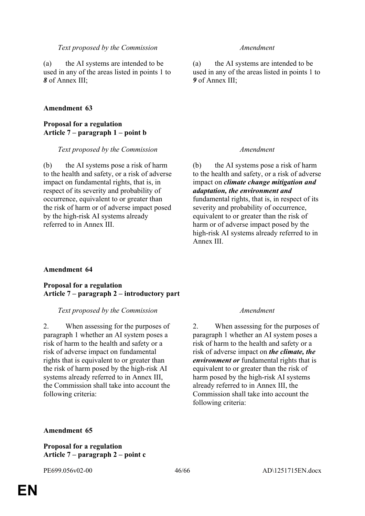(a) the AI systems are intended to be used in any of the areas listed in points 1 to *8* of Annex III;

### **Amendment 63**

### **Proposal for a regulation Article 7 – paragraph 1 – point b**

#### *Text proposed by the Commission Amendment*

(b) the AI systems pose a risk of harm to the health and safety, or a risk of adverse impact on fundamental rights, that is, in respect of its severity and probability of occurrence, equivalent to or greater than the risk of harm or of adverse impact posed by the high-risk AI systems already referred to in Annex III.

(a) the AI systems are intended to be used in any of the areas listed in points 1 to *9* of Annex III;

(b) the AI systems pose a risk of harm to the health and safety, or a risk of adverse impact on *climate change mitigation and adaptation, the environment and* fundamental rights, that is, in respect of its severity and probability of occurrence, equivalent to or greater than the risk of harm or of adverse impact posed by the high-risk AI systems already referred to in Annex III.

### **Amendment 64**

### **Proposal for a regulation Article 7 – paragraph 2 – introductory part**

#### *Text proposed by the Commission Amendment*

2. When assessing for the purposes of paragraph 1 whether an AI system poses a risk of harm to the health and safety or a risk of adverse impact on fundamental rights that is equivalent to or greater than the risk of harm posed by the high-risk AI systems already referred to in Annex III, the Commission shall take into account the following criteria:

2. When assessing for the purposes of paragraph 1 whether an AI system poses a risk of harm to the health and safety or a risk of adverse impact on *the climate, the environment or* fundamental rights that is equivalent to or greater than the risk of harm posed by the high-risk AI systems already referred to in Annex III, the Commission shall take into account the following criteria:

#### **Amendment 65**

**Proposal for a regulation Article 7 – paragraph 2 – point c**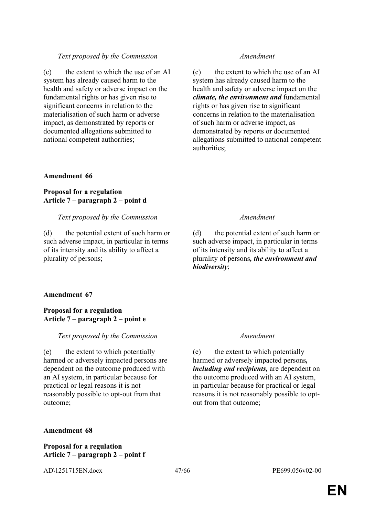(c) the extent to which the use of an AI system has already caused harm to the health and safety or adverse impact on the fundamental rights or has given rise to significant concerns in relation to the materialisation of such harm or adverse impact, as demonstrated by reports or documented allegations submitted to national competent authorities;

#### **Amendment 66**

### **Proposal for a regulation Article 7 – paragraph 2 – point d**

#### *Text proposed by the Commission Amendment*

(d) the potential extent of such harm or such adverse impact, in particular in terms of its intensity and its ability to affect a plurality of persons;

(c) the extent to which the use of an AI system has already caused harm to the health and safety or adverse impact on the *climate, the environment and* fundamental rights or has given rise to significant concerns in relation to the materialisation of such harm or adverse impact, as demonstrated by reports or documented allegations submitted to national competent authorities;

(d) the potential extent of such harm or such adverse impact, in particular in terms of its intensity and its ability to affect a plurality of persons*, the environment and biodiversity*;

#### **Amendment 67**

### **Proposal for a regulation Article 7 – paragraph 2 – point e**

#### *Text proposed by the Commission Amendment*

(e) the extent to which potentially harmed or adversely impacted persons are dependent on the outcome produced with an AI system, in particular because for practical or legal reasons it is not reasonably possible to opt-out from that outcome;

(e) the extent to which potentially harmed or adversely impacted persons*, including end recipients,* are dependent on the outcome produced with an AI system, in particular because for practical or legal reasons it is not reasonably possible to optout from that outcome;

#### **Amendment 68**

### **Proposal for a regulation Article 7 – paragraph 2 – point f**

AD\1251715EN.docx 47/66 PE699.056v02-00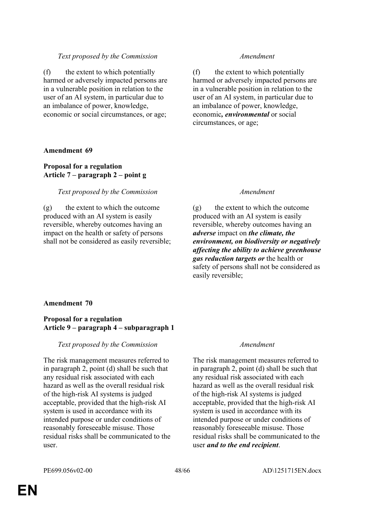(f) the extent to which potentially harmed or adversely impacted persons are in a vulnerable position in relation to the user of an AI system, in particular due to an imbalance of power, knowledge, economic or social circumstances, or age;

### **Amendment 69**

### **Proposal for a regulation Article 7 – paragraph 2 – point g**

### *Text proposed by the Commission Amendment*

(g) the extent to which the outcome produced with an AI system is easily reversible, whereby outcomes having an impact on the health or safety of persons shall not be considered as easily reversible;

(f) the extent to which potentially harmed or adversely impacted persons are in a vulnerable position in relation to the user of an AI system, in particular due to an imbalance of power, knowledge, economic*, environmental* or social circumstances, or age;

(g) the extent to which the outcome produced with an AI system is easily reversible, whereby outcomes having an *adverse* impact on *the climate, the environment, on biodiversity or negatively affecting the ability to achieve greenhouse gas reduction targets or* the health or safety of persons shall not be considered as easily reversible;

### **Amendment 70**

### **Proposal for a regulation Article 9 – paragraph 4 – subparagraph 1**

### *Text proposed by the Commission Amendment*

The risk management measures referred to in paragraph 2, point (d) shall be such that any residual risk associated with each hazard as well as the overall residual risk of the high-risk AI systems is judged acceptable, provided that the high-risk AI system is used in accordance with its intended purpose or under conditions of reasonably foreseeable misuse. Those residual risks shall be communicated to the user.

The risk management measures referred to in paragraph 2, point (d) shall be such that any residual risk associated with each hazard as well as the overall residual risk of the high-risk AI systems is judged acceptable, provided that the high-risk AI system is used in accordance with its intended purpose or under conditions of reasonably foreseeable misuse. Those residual risks shall be communicated to the user *and to the end recipient*.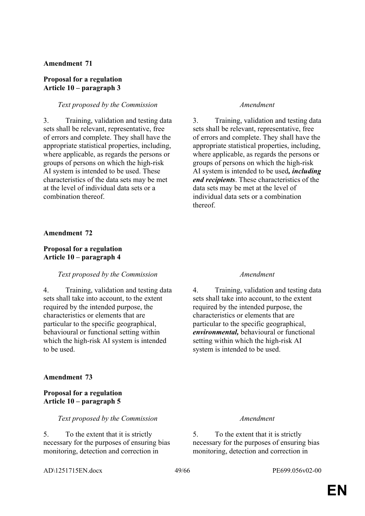#### **Proposal for a regulation Article 10 – paragraph 3**

#### *Text proposed by the Commission Amendment*

3. Training, validation and testing data sets shall be relevant, representative, free of errors and complete. They shall have the appropriate statistical properties, including, where applicable, as regards the persons or groups of persons on which the high-risk AI system is intended to be used. These characteristics of the data sets may be met at the level of individual data sets or a combination thereof.

3. Training, validation and testing data sets shall be relevant, representative, free of errors and complete. They shall have the appropriate statistical properties, including, where applicable, as regards the persons or groups of persons on which the high-risk AI system is intended to be used*, including end recipients*. These characteristics of the data sets may be met at the level of individual data sets or a combination thereof.

#### **Amendment 72**

#### **Proposal for a regulation Article 10 – paragraph 4**

#### *Text proposed by the Commission Amendment*

4. Training, validation and testing data sets shall take into account, to the extent required by the intended purpose, the characteristics or elements that are particular to the specific geographical, behavioural or functional setting within which the high-risk AI system is intended to be used.

#### **Amendment 73**

### **Proposal for a regulation Article 10 – paragraph 5**

#### *Text proposed by the Commission Amendment*

5. To the extent that it is strictly necessary for the purposes of ensuring bias monitoring, detection and correction in

4. Training, validation and testing data sets shall take into account, to the extent required by the intended purpose, the characteristics or elements that are particular to the specific geographical, *environmental,* behavioural or functional setting within which the high-risk AI system is intended to be used.

5. To the extent that it is strictly necessary for the purposes of ensuring bias monitoring, detection and correction in

AD\1251715EN.docx 49/66 PE699.056v02-00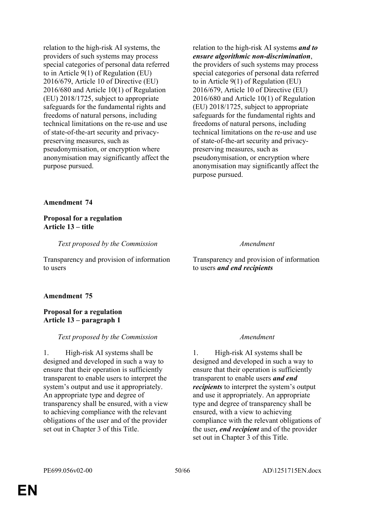relation to the high-risk AI systems, the providers of such systems may process special categories of personal data referred to in Article 9(1) of Regulation (EU) 2016/679, Article 10 of Directive (EU) 2016/680 and Article 10(1) of Regulation (EU) 2018/1725, subject to appropriate safeguards for the fundamental rights and freedoms of natural persons, including technical limitations on the re-use and use of state-of-the-art security and privacypreserving measures, such as pseudonymisation, or encryption where anonymisation may significantly affect the purpose pursued.

relation to the high-risk AI systems *and to ensure algorithmic non-discrimination*, the providers of such systems may process special categories of personal data referred to in Article 9(1) of Regulation (EU) 2016/679, Article 10 of Directive (EU) 2016/680 and Article 10(1) of Regulation (EU) 2018/1725, subject to appropriate safeguards for the fundamental rights and freedoms of natural persons, including technical limitations on the re-use and use of state-of-the-art security and privacypreserving measures, such as pseudonymisation, or encryption where anonymisation may significantly affect the purpose pursued.

#### **Amendment 74**

#### **Proposal for a regulation Article 13 – title**

*Text proposed by the Commission Amendment*

Transparency and provision of information to users

Transparency and provision of information to users *and end recipients*

#### **Amendment 75**

### **Proposal for a regulation Article 13 – paragraph 1**

#### *Text proposed by the Commission Amendment*

1. High-risk AI systems shall be designed and developed in such a way to ensure that their operation is sufficiently transparent to enable users to interpret the system's output and use it appropriately. An appropriate type and degree of transparency shall be ensured, with a view to achieving compliance with the relevant obligations of the user and of the provider set out in Chapter 3 of this Title.

1. High-risk AI systems shall be designed and developed in such a way to ensure that their operation is sufficiently transparent to enable users *and end recipients* to interpret the system's output and use it appropriately. An appropriate type and degree of transparency shall be ensured, with a view to achieving compliance with the relevant obligations of the user*, end recipient* and of the provider set out in Chapter 3 of this Title.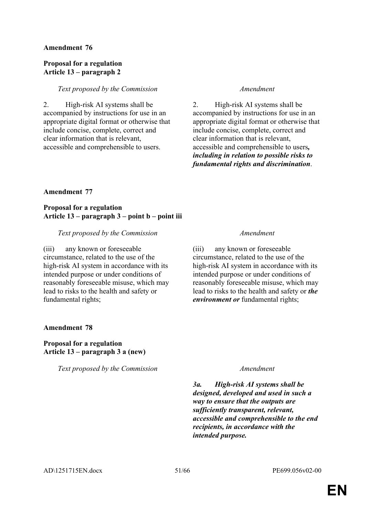### **Proposal for a regulation Article 13 – paragraph 2**

#### *Text proposed by the Commission Amendment*

2. High-risk AI systems shall be accompanied by instructions for use in an appropriate digital format or otherwise that include concise, complete, correct and clear information that is relevant, accessible and comprehensible to users.

2. High-risk AI systems shall be accompanied by instructions for use in an appropriate digital format or otherwise that include concise, complete, correct and clear information that is relevant, accessible and comprehensible to users*, including in relation to possible risks to fundamental rights and discrimination*.

### **Amendment 77**

### **Proposal for a regulation Article 13 – paragraph 3 – point b – point iii**

### *Text proposed by the Commission Amendment*

(iii) any known or foreseeable circumstance, related to the use of the high-risk AI system in accordance with its intended purpose or under conditions of reasonably foreseeable misuse, which may lead to risks to the health and safety or fundamental rights;

### **Amendment 78**

### **Proposal for a regulation Article 13 – paragraph 3 a (new)**

*Text proposed by the Commission Amendment*

(iii) any known or foreseeable circumstance, related to the use of the high-risk AI system in accordance with its intended purpose or under conditions of reasonably foreseeable misuse, which may lead to risks to the health and safety or *the environment or* fundamental rights;

*3a. High-risk AI systems shall be designed, developed and used in such a way to ensure that the outputs are sufficiently transparent, relevant, accessible and comprehensible to the end recipients, in accordance with the intended purpose.*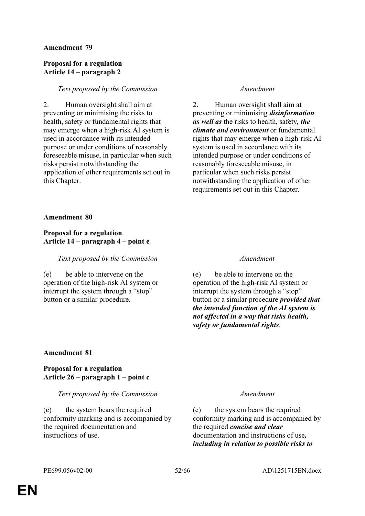### **Proposal for a regulation Article 14 – paragraph 2**

### *Text proposed by the Commission Amendment*

2. Human oversight shall aim at preventing or minimising the risks to health, safety or fundamental rights that may emerge when a high-risk AI system is used in accordance with its intended purpose or under conditions of reasonably foreseeable misuse, in particular when such risks persist notwithstanding the application of other requirements set out in this Chapter.

2. Human oversight shall aim at preventing or minimising *disinformation as well as* the risks to health, safety*, the climate and environment* or fundamental rights that may emerge when a high-risk AI system is used in accordance with its intended purpose or under conditions of reasonably foreseeable misuse, in particular when such risks persist notwithstanding the application of other requirements set out in this Chapter.

#### **Amendment 80**

### **Proposal for a regulation Article 14 – paragraph 4 – point e**

### *Text proposed by the Commission Amendment*

(e) be able to intervene on the operation of the high-risk AI system or interrupt the system through a "stop" button or a similar procedure.

(e) be able to intervene on the operation of the high-risk AI system or interrupt the system through a "stop" button or a similar procedure *provided that the intended function of the AI system is not affected in a way that risks health, safety or fundamental rights*.

### **Amendment 81**

### **Proposal for a regulation Article 26 – paragraph 1 – point c**

#### *Text proposed by the Commission Amendment*

(c) the system bears the required conformity marking and is accompanied by the required documentation and instructions of use.

(c) the system bears the required conformity marking and is accompanied by the required *concise and clear* documentation and instructions of use*, including in relation to possible risks to*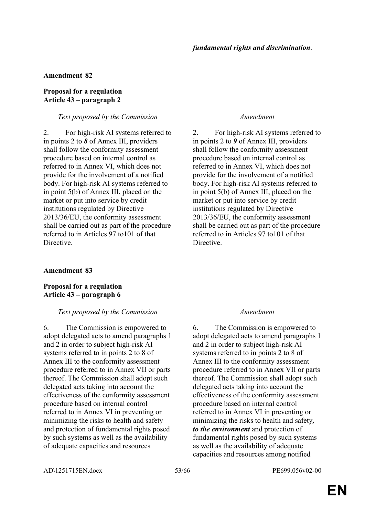### **Proposal for a regulation Article 43 – paragraph 2**

#### *Text proposed by the Commission Amendment*

2. For high-risk AI systems referred to in points 2 to *8* of Annex III, providers shall follow the conformity assessment procedure based on internal control as referred to in Annex VI, which does not provide for the involvement of a notified body. For high-risk AI systems referred to in point 5(b) of Annex III, placed on the market or put into service by credit institutions regulated by Directive 2013/36/EU, the conformity assessment shall be carried out as part of the procedure referred to in Articles 97 to101 of that Directive.

### **Amendment 83**

### **Proposal for a regulation Article 43 – paragraph 6**

### *Text proposed by the Commission Amendment*

6. The Commission is empowered to adopt delegated acts to amend paragraphs 1 and 2 in order to subject high-risk AI systems referred to in points 2 to 8 of Annex III to the conformity assessment procedure referred to in Annex VII or parts thereof. The Commission shall adopt such delegated acts taking into account the effectiveness of the conformity assessment procedure based on internal control referred to in Annex VI in preventing or minimizing the risks to health and safety and protection of fundamental rights posed by such systems as well as the availability of adequate capacities and resources

2. For high-risk AI systems referred to in points 2 to *9* of Annex III, providers shall follow the conformity assessment procedure based on internal control as referred to in Annex VI, which does not provide for the involvement of a notified body. For high-risk AI systems referred to in point 5(b) of Annex III, placed on the market or put into service by credit institutions regulated by Directive 2013/36/EU, the conformity assessment shall be carried out as part of the procedure referred to in Articles 97 to101 of that Directive.

6. The Commission is empowered to adopt delegated acts to amend paragraphs 1 and 2 in order to subject high-risk AI systems referred to in points 2 to 8 of Annex III to the conformity assessment procedure referred to in Annex VII or parts thereof. The Commission shall adopt such delegated acts taking into account the effectiveness of the conformity assessment procedure based on internal control referred to in Annex VI in preventing or minimizing the risks to health and safety*, to the environment* and protection of fundamental rights posed by such systems as well as the availability of adequate capacities and resources among notified

AD\1251715EN.docx 53/66 PE699.056v02-00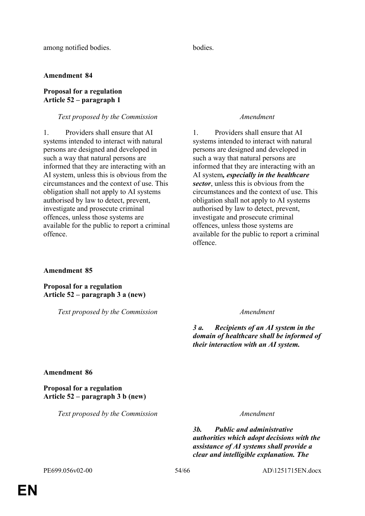### **Proposal for a regulation Article 52 – paragraph 1**

#### *Text proposed by the Commission Amendment*

1. Providers shall ensure that AI systems intended to interact with natural persons are designed and developed in such a way that natural persons are informed that they are interacting with an AI system, unless this is obvious from the circumstances and the context of use. This obligation shall not apply to AI systems authorised by law to detect, prevent, investigate and prosecute criminal offences, unless those systems are available for the public to report a criminal offence.

1. Providers shall ensure that AI systems intended to interact with natural persons are designed and developed in such a way that natural persons are informed that they are interacting with an AI system*, especially in the healthcare sector*, unless this is obvious from the circumstances and the context of use. This obligation shall not apply to AI systems authorised by law to detect, prevent, investigate and prosecute criminal offences, unless those systems are available for the public to report a criminal offence.

#### **Amendment 85**

**Proposal for a regulation Article 52 – paragraph 3 a (new)**

*Text proposed by the Commission Amendment*

*3 a. Recipients of an AI system in the domain of healthcare shall be informed of their interaction with an AI system.*

### **Amendment 86**

### **Proposal for a regulation Article 52 – paragraph 3 b (new)**

*Text proposed by the Commission Amendment*

*3b. Public and administrative authorities which adopt decisions with the assistance of AI systems shall provide a clear and intelligible explanation. The*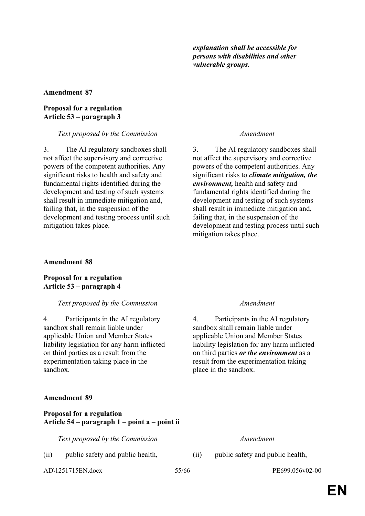*explanation shall be accessible for persons with disabilities and other vulnerable groups.*

#### **Amendment 87**

#### **Proposal for a regulation Article 53 – paragraph 3**

*Text proposed by the Commission Amendment*

3. The AI regulatory sandboxes shall not affect the supervisory and corrective powers of the competent authorities. Any significant risks to health and safety and fundamental rights identified during the development and testing of such systems shall result in immediate mitigation and, failing that, in the suspension of the development and testing process until such mitigation takes place.

3. The AI regulatory sandboxes shall not affect the supervisory and corrective powers of the competent authorities. Any significant risks to *climate mitigation, the environment,* health and safety and fundamental rights identified during the development and testing of such systems shall result in immediate mitigation and, failing that, in the suspension of the development and testing process until such mitigation takes place.

### **Amendment 88**

**Proposal for a regulation Article 53 – paragraph 4**

#### *Text proposed by the Commission Amendment*

4. Participants in the AI regulatory sandbox shall remain liable under applicable Union and Member States liability legislation for any harm inflicted on third parties as a result from the experimentation taking place in the sandbox.

### **Amendment 89**

### **Proposal for a regulation Article 54 – paragraph 1 – point a – point ii**

*Text proposed by the Commission Amendment*

(ii) public safety and public health, (ii) public safety and public health,

AD\1251715EN.docx 55/66 PE699.056v02-00

4. Participants in the AI regulatory sandbox shall remain liable under applicable Union and Member States liability legislation for any harm inflicted on third parties *or the environment* as a result from the experimentation taking place in the sandbox.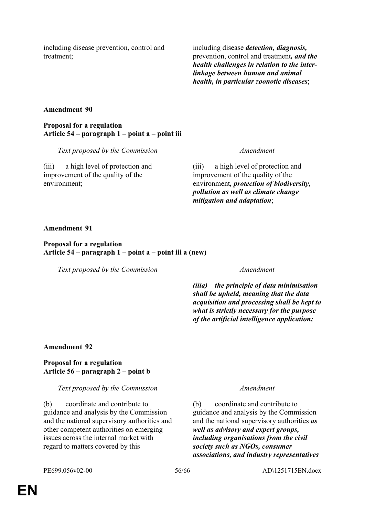including disease prevention, control and treatment;

including disease *detection, diagnosis,*  prevention, control and treatment*, and the health challenges in relation to the interlinkage between human and animal health, in particular zoonotic diseases*;

### **Amendment 90**

**Proposal for a regulation Article 54 – paragraph 1 – point a – point iii**

*Text proposed by the Commission Amendment*

(iii) a high level of protection and improvement of the quality of the environment;

(iii) a high level of protection and improvement of the quality of the environment*, protection of biodiversity, pollution as well as climate change mitigation and adaptation*;

#### **Amendment 91**

### **Proposal for a regulation Article 54 – paragraph 1 – point a – point iii a (new)**

*Text proposed by the Commission Amendment*

*(iiia) the principle of data minimisation shall be upheld, meaning that the data acquisition and processing shall be kept to what is strictly necessary for the purpose of the artificial intelligence application;*

#### **Amendment 92**

### **Proposal for a regulation Article 56 – paragraph 2 – point b**

#### *Text proposed by the Commission Amendment*

(b) coordinate and contribute to guidance and analysis by the Commission and the national supervisory authorities and other competent authorities on emerging issues across the internal market with regard to matters covered by this

(b) coordinate and contribute to guidance and analysis by the Commission and the national supervisory authorities *as well as advisory and expert groups, including organisations from the civil society such as NGOs, consumer associations, and industry representatives*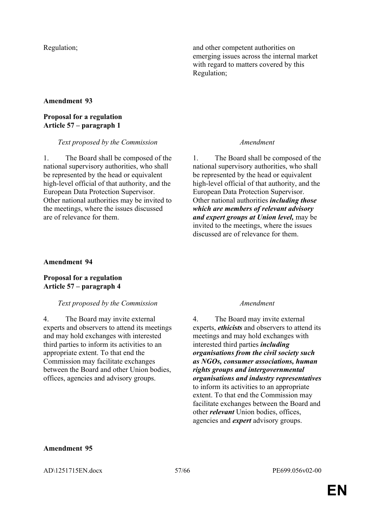Regulation; and other competent authorities on emerging issues across the internal market with regard to matters covered by this Regulation;

### **Amendment 93**

### **Proposal for a regulation Article 57 – paragraph 1**

#### *Text proposed by the Commission Amendment*

1. The Board shall be composed of the national supervisory authorities, who shall be represented by the head or equivalent high-level official of that authority, and the European Data Protection Supervisor. Other national authorities may be invited to the meetings, where the issues discussed are of relevance for them.

1. The Board shall be composed of the national supervisory authorities, who shall be represented by the head or equivalent high-level official of that authority, and the European Data Protection Supervisor. Other national authorities *including those which are members of relevant advisory and expert groups at Union level,* may be invited to the meetings, where the issues discussed are of relevance for them.

### **Amendment 94**

### **Proposal for a regulation Article 57 – paragraph 4**

### *Text proposed by the Commission Amendment*

4. The Board may invite external experts and observers to attend its meetings and may hold exchanges with interested third parties to inform its activities to an appropriate extent. To that end the Commission may facilitate exchanges between the Board and other Union bodies, offices, agencies and advisory groups.

4. The Board may invite external experts, *ethicists* and observers to attend its meetings and may hold exchanges with interested third parties *including organisations from the civil society such as NGOs, consumer associations, human rights groups and intergovernmental organisations and industry representatives* to inform its activities to an appropriate extent. To that end the Commission may facilitate exchanges between the Board and other *relevant* Union bodies, offices, agencies and *expert* advisory groups.

### **Amendment 95**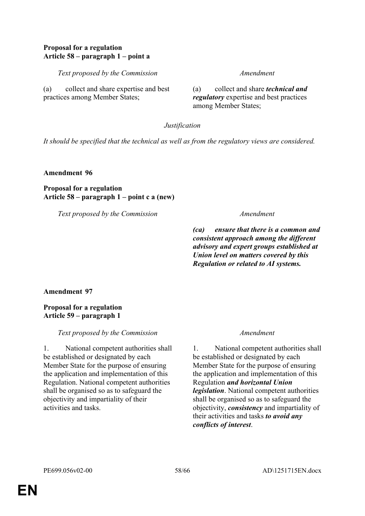### **Proposal for a regulation Article 58 – paragraph 1 – point a**

*Text proposed by the Commission Amendment*

(a) collect and share expertise and best practices among Member States;

(a) collect and share *technical and regulatory* expertise and best practices among Member States;

*Justification*

*It should be specified that the technical as well as from the regulatory views are considered.*

**Amendment 96**

**Proposal for a regulation Article 58 – paragraph 1 – point c a (new)**

*Text proposed by the Commission Amendment*

*(ca) ensure that there is a common and consistent approach among the different advisory and expert groups established at Union level on matters covered by this Regulation or related to AI systems.*

**Amendment 97**

**Proposal for a regulation Article 59 – paragraph 1**

*Text proposed by the Commission Amendment*

1. National competent authorities shall be established or designated by each Member State for the purpose of ensuring the application and implementation of this Regulation. National competent authorities shall be organised so as to safeguard the objectivity and impartiality of their activities and tasks.

1. National competent authorities shall be established or designated by each Member State for the purpose of ensuring the application and implementation of this Regulation *and horizontal Union legislation*. National competent authorities shall be organised so as to safeguard the objectivity, *consistency* and impartiality of their activities and tasks *to avoid any conflicts of interest*.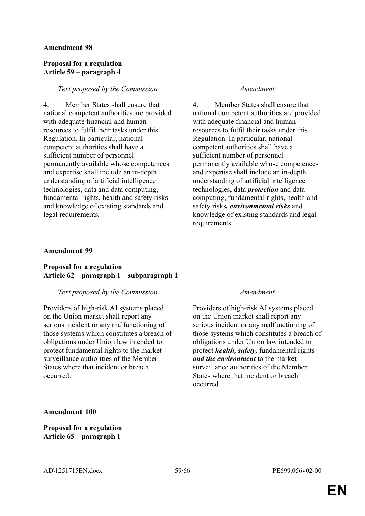### **Proposal for a regulation Article 59 – paragraph 4**

### *Text proposed by the Commission Amendment*

4. Member States shall ensure that national competent authorities are provided with adequate financial and human resources to fulfil their tasks under this Regulation. In particular, national competent authorities shall have a sufficient number of personnel permanently available whose competences and expertise shall include an in-depth understanding of artificial intelligence technologies, data and data computing, fundamental rights, health and safety risks and knowledge of existing standards and legal requirements.

4. Member States shall ensure that national competent authorities are provided with adequate financial and human resources to fulfil their tasks under this Regulation. In particular, national competent authorities shall have a sufficient number of personnel permanently available whose competences and expertise shall include an in-depth understanding of artificial intelligence technologies, data *protection* and data computing, fundamental rights, health and safety risks*, environmental risks* and knowledge of existing standards and legal requirements.

### **Amendment 99**

### **Proposal for a regulation Article 62 – paragraph 1 – subparagraph 1**

#### *Text proposed by the Commission Amendment*

Providers of high-risk AI systems placed on the Union market shall report any serious incident or any malfunctioning of those systems which constitutes a breach of obligations under Union law intended to protect fundamental rights to the market surveillance authorities of the Member States where that incident or breach occurred.

Providers of high-risk AI systems placed on the Union market shall report any serious incident or any malfunctioning of those systems which constitutes a breach of obligations under Union law intended to protect *health, safety,* fundamental rights *and the environment* to the market surveillance authorities of the Member States where that incident or breach occurred.

**Amendment 100**

**Proposal for a regulation Article 65 – paragraph 1**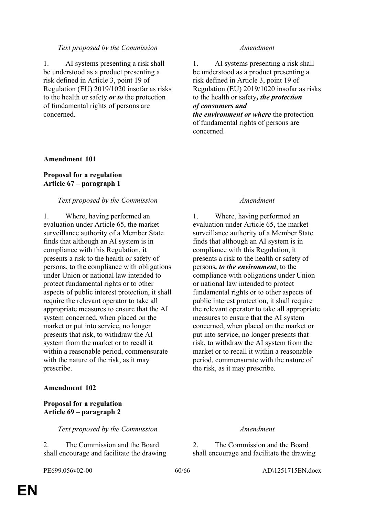1. AI systems presenting a risk shall be understood as a product presenting a risk defined in Article 3, point 19 of Regulation (EU) 2019/1020 insofar as risks to the health or safety *or to* the protection of fundamental rights of persons are concerned.

1. AI systems presenting a risk shall be understood as a product presenting a risk defined in Article 3, point 19 of Regulation (EU) 2019/1020 insofar as risks to the health or safety*, the protection of consumers and* 

*the environment or where* the protection of fundamental rights of persons are concerned.

### **Amendment 101**

### **Proposal for a regulation Article 67 – paragraph 1**

### *Text proposed by the Commission Amendment*

1. Where, having performed an evaluation under Article 65, the market surveillance authority of a Member State finds that although an AI system is in compliance with this Regulation, it presents a risk to the health or safety of persons, to the compliance with obligations under Union or national law intended to protect fundamental rights or to other aspects of public interest protection, it shall require the relevant operator to take all appropriate measures to ensure that the AI system concerned, when placed on the market or put into service, no longer presents that risk, to withdraw the AI system from the market or to recall it within a reasonable period, commensurate with the nature of the risk, as it may prescribe.

### **Amendment 102**

### **Proposal for a regulation Article 69 – paragraph 2**

*Text proposed by the Commission Amendment*

2. The Commission and the Board shall encourage and facilitate the drawing

1. Where, having performed an evaluation under Article 65, the market surveillance authority of a Member State finds that although an AI system is in compliance with this Regulation, it presents a risk to the health or safety of persons*, to the environment*, to the compliance with obligations under Union or national law intended to protect fundamental rights or to other aspects of public interest protection, it shall require the relevant operator to take all appropriate measures to ensure that the AI system concerned, when placed on the market or put into service, no longer presents that risk, to withdraw the AI system from the market or to recall it within a reasonable period, commensurate with the nature of the risk, as it may prescribe.

2. The Commission and the Board shall encourage and facilitate the drawing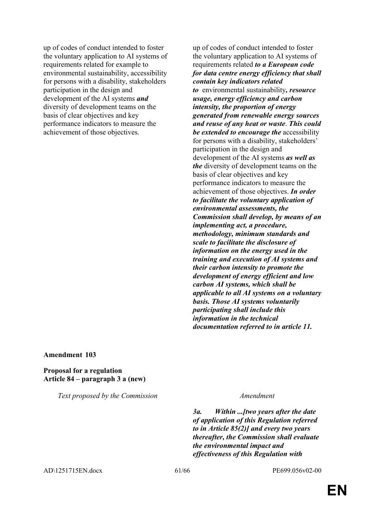up of codes of conduct intended to foster the voluntary application to AI systems of requirements related for example to environmental sustainability, accessibility for persons with a disability, stakeholders participation in the design and development of the AI systems *and* diversity of development teams on the basis of clear objectives and key performance indicators to measure the achievement of those objectives.

up of codes of conduct intended to foster the voluntary application to AI systems of requirements related *to a European code for data centre energy efficiency that shall contain key indicators related to* environmental sustainability*, resource usage, energy efficiency and carbon intensity, the proportion of energy generated from renewable energy sources and reuse of any heat or waste*. *This could be extended to encourage the* accessibility for persons with a disability, stakeholders' participation in the design and development of the AI systems *as well as the* diversity of development teams on the basis of clear objectives and key performance indicators to measure the achievement of those objectives. *In order to facilitate the voluntary application of environmental assessments, the Commission shall develop, by means of an implementing act, a procedure, methodology, minimum standards and scale to facilitate the disclosure of information on the energy used in the training and execution of AI systems and their carbon intensity to promote the development of energy efficient and low carbon AI systems, which shall be applicable to all AI systems on a voluntary basis. Those AI systems voluntarily participating shall include this information in the technical documentation referred to in article 11.*

#### **Amendment 103**

#### **Proposal for a regulation Article 84 – paragraph 3 a (new)**

*Text proposed by the Commission Amendment*

*3a. Within ...[two years after the date of application of this Regulation referred to in Article 85(2)] and every two years thereafter, the Commission shall evaluate the environmental impact and effectiveness of this Regulation with* 

AD\1251715EN.docx 61/66 PE699.056v02-00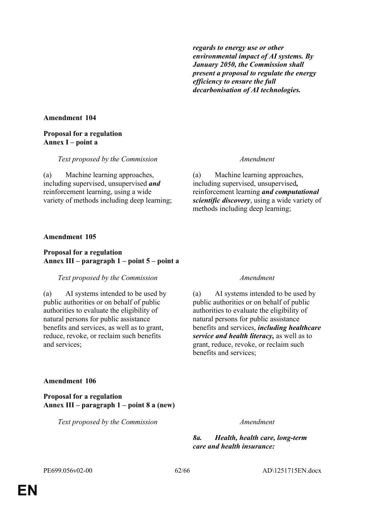*regards to energy use or other environmental impact of AI systems. By January 2050, the Commission shall present a proposal to regulate the energy efficiency to ensure the full decarbonisation of AI technologies.*

### **Amendment 104**

## **Proposal for a regulation Annex I – point a**

### *Text proposed by the Commission Amendment*

(a) Machine learning approaches, including supervised, unsupervised *and* reinforcement learning, using a wide variety of methods including deep learning;

(a) Machine learning approaches, including supervised, unsupervised*,* reinforcement learning *and computational scientific discovery*, using a wide variety of methods including deep learning;

### **Amendment 105**

### **Proposal for a regulation Annex III – paragraph 1 – point 5 – point a**

### *Text proposed by the Commission Amendment*

(a) AI systems intended to be used by public authorities or on behalf of public authorities to evaluate the eligibility of natural persons for public assistance benefits and services, as well as to grant, reduce, revoke, or reclaim such benefits and services;

(a) AI systems intended to be used by public authorities or on behalf of public authorities to evaluate the eligibility of natural persons for public assistance benefits and services, *including healthcare service and health literacy,* as well as to grant, reduce, revoke, or reclaim such benefits and services;

### **Amendment 106**

**Proposal for a regulation Annex III – paragraph 1 – point 8 a (new)**

*Text proposed by the Commission Amendment*

*8a. Health, health care, long-term care and health insurance:*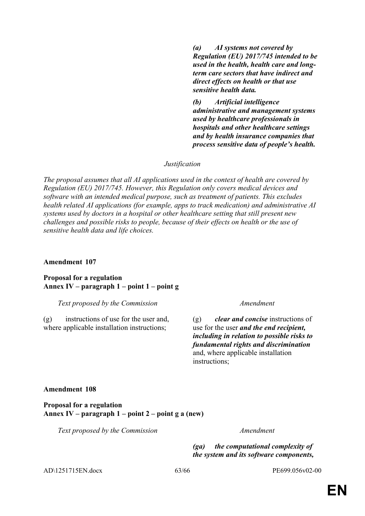*(a) AI systems not covered by Regulation (EU) 2017/745 intended to be used in the health, health care and longterm care sectors that have indirect and direct effects on health or that use sensitive health data.*

*(b) Artificial intelligence administrative and management systems used by healthcare professionals in hospitals and other healthcare settings and by health insurance companies that process sensitive data of people's health.*

#### *Justification*

*The proposal assumes that all AI applications used in the context of health are covered by Regulation (EU) 2017/745. However, this Regulation only covers medical devices and software with an intended medical purpose, such as treatment of patients. This excludes health related AI applications (for example, apps to track medication) and administrative AI systems used by doctors in a hospital or other healthcare setting that still present new challenges and possible risks to people, because of their effects on health or the use of sensitive health data and life choices.*

#### **Amendment 107**

**Proposal for a regulation Annex IV – paragraph 1 – point 1 – point g**

*Text proposed by the Commission Amendment*

(g) instructions of use for the user and, where applicable installation instructions;

(g) *clear and concise* instructions of use for the user *and the end recipient, including in relation to possible risks to fundamental rights and discrimination* and, where applicable installation instructions;

#### **Amendment 108**

**Proposal for a regulation Annex IV – paragraph 1 – point 2 – point g a (new)**

*Text proposed by the Commission Amendment*

*(ga) the computational complexity of the system and its software components,* 

AD\1251715EN.docx 63/66 PE699.056v02-00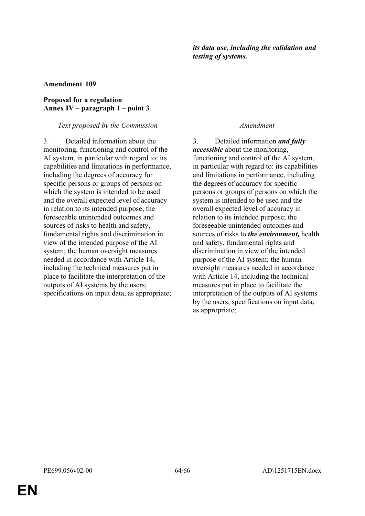### **Proposal for a regulation Annex IV – paragraph 1 – point 3**

### *Text proposed by the Commission Amendment*

3. Detailed information about the monitoring, functioning and control of the AI system, in particular with regard to: its capabilities and limitations in performance, including the degrees of accuracy for specific persons or groups of persons on which the system is intended to be used and the overall expected level of accuracy in relation to its intended purpose; the foreseeable unintended outcomes and sources of risks to health and safety fundamental rights and discrimination in view of the intended purpose of the AI system; the human oversight measures needed in accordance with Article 14, including the technical measures put in place to facilitate the interpretation of the outputs of AI systems by the users; specifications on input data, as appropriate;

3. Detailed information *and fully accessible* about the monitoring, functioning and control of the AI system, in particular with regard to: its capabilities and limitations in performance, including the degrees of accuracy for specific persons or groups of persons on which the system is intended to be used and the overall expected level of accuracy in relation to its intended purpose; the foreseeable unintended outcomes and sources of risks to *the environment,* health and safety, fundamental rights and discrimination in view of the intended purpose of the AI system; the human oversight measures needed in accordance with Article 14, including the technical measures put in place to facilitate the interpretation of the outputs of AI systems by the users; specifications on input data, as appropriate;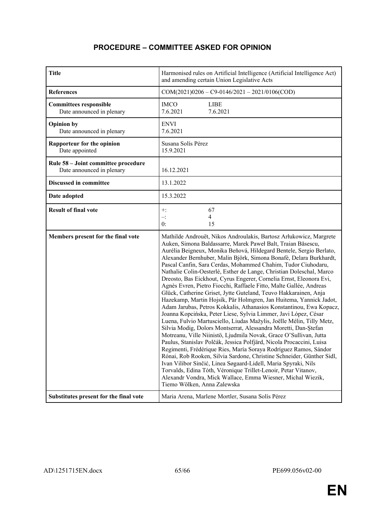# **PROCEDURE – COMMITTEE ASKED FOR OPINION**

| <b>Title</b>                                                     | Harmonised rules on Artificial Intelligence (Artificial Intelligence Act)<br>and amending certain Union Legislative Acts                                                                                                                                                                                                                                                                                                                                                                                                                                                                                                                                                                                                                                                                                                                                                                                                                                                                                                                                                                                                                                                                                                                                                                                                                                                                                                                                                                                                          |
|------------------------------------------------------------------|-----------------------------------------------------------------------------------------------------------------------------------------------------------------------------------------------------------------------------------------------------------------------------------------------------------------------------------------------------------------------------------------------------------------------------------------------------------------------------------------------------------------------------------------------------------------------------------------------------------------------------------------------------------------------------------------------------------------------------------------------------------------------------------------------------------------------------------------------------------------------------------------------------------------------------------------------------------------------------------------------------------------------------------------------------------------------------------------------------------------------------------------------------------------------------------------------------------------------------------------------------------------------------------------------------------------------------------------------------------------------------------------------------------------------------------------------------------------------------------------------------------------------------------|
| <b>References</b>                                                | $COM(2021)0206 - C9 - 0146/2021 - 2021/0106(COD)$                                                                                                                                                                                                                                                                                                                                                                                                                                                                                                                                                                                                                                                                                                                                                                                                                                                                                                                                                                                                                                                                                                                                                                                                                                                                                                                                                                                                                                                                                 |
| <b>Committees responsible</b><br>Date announced in plenary       | <b>IMCO</b><br><b>LIBE</b><br>7.6.2021<br>7.6.2021                                                                                                                                                                                                                                                                                                                                                                                                                                                                                                                                                                                                                                                                                                                                                                                                                                                                                                                                                                                                                                                                                                                                                                                                                                                                                                                                                                                                                                                                                |
| <b>Opinion by</b><br>Date announced in plenary                   | <b>ENVI</b><br>7.6.2021                                                                                                                                                                                                                                                                                                                                                                                                                                                                                                                                                                                                                                                                                                                                                                                                                                                                                                                                                                                                                                                                                                                                                                                                                                                                                                                                                                                                                                                                                                           |
| <b>Rapporteur for the opinion</b><br>Date appointed              | Susana Solís Pérez<br>15.9.2021                                                                                                                                                                                                                                                                                                                                                                                                                                                                                                                                                                                                                                                                                                                                                                                                                                                                                                                                                                                                                                                                                                                                                                                                                                                                                                                                                                                                                                                                                                   |
| Rule 58 - Joint committee procedure<br>Date announced in plenary | 16.12.2021                                                                                                                                                                                                                                                                                                                                                                                                                                                                                                                                                                                                                                                                                                                                                                                                                                                                                                                                                                                                                                                                                                                                                                                                                                                                                                                                                                                                                                                                                                                        |
| <b>Discussed in committee</b>                                    | 13.1.2022                                                                                                                                                                                                                                                                                                                                                                                                                                                                                                                                                                                                                                                                                                                                                                                                                                                                                                                                                                                                                                                                                                                                                                                                                                                                                                                                                                                                                                                                                                                         |
| Date adopted                                                     | 15.3.2022                                                                                                                                                                                                                                                                                                                                                                                                                                                                                                                                                                                                                                                                                                                                                                                                                                                                                                                                                                                                                                                                                                                                                                                                                                                                                                                                                                                                                                                                                                                         |
| <b>Result of final vote</b>                                      | 67<br>$+$ :<br>4<br>$-$ :<br>0:<br>15                                                                                                                                                                                                                                                                                                                                                                                                                                                                                                                                                                                                                                                                                                                                                                                                                                                                                                                                                                                                                                                                                                                                                                                                                                                                                                                                                                                                                                                                                             |
| Members present for the final vote                               | Mathilde Androuët, Nikos Androulakis, Bartosz Arłukowicz, Margrete<br>Auken, Simona Baldassarre, Marek Paweł Balt, Traian Băsescu,<br>Aurélia Beigneux, Monika Beňová, Hildegard Bentele, Sergio Berlato,<br>Alexander Bernhuber, Malin Björk, Simona Bonafè, Delara Burkhardt,<br>Pascal Canfin, Sara Cerdas, Mohammed Chahim, Tudor Ciuhodaru,<br>Nathalie Colin-Oesterlé, Esther de Lange, Christian Doleschal, Marco<br>Dreosto, Bas Eickhout, Cyrus Engerer, Cornelia Ernst, Eleonora Evi,<br>Agnès Evren, Pietro Fiocchi, Raffaele Fitto, Malte Gallée, Andreas<br>Glück, Catherine Griset, Jytte Guteland, Teuvo Hakkarainen, Anja<br>Hazekamp, Martin Hojsík, Pär Holmgren, Jan Huitema, Yannick Jadot,<br>Adam Jarubas, Petros Kokkalis, Athanasios Konstantinou, Ewa Kopacz,<br>Joanna Kopcińska, Peter Liese, Sylvia Limmer, Javi López, César<br>Luena, Fulvio Martusciello, Liudas Mažylis, Joëlle Mélin, Tilly Metz,<br>Silvia Modig, Dolors Montserrat, Alessandra Moretti, Dan-Ștefan<br>Motreanu, Ville Niinistö, Ljudmila Novak, Grace O'Sullivan, Jutta<br>Paulus, Stanislav Polčák, Jessica Polfjärd, Nicola Procaccini, Luisa<br>Regimenti, Frédérique Ries, María Soraya Rodríguez Ramos, Sándor<br>Rónai, Rob Rooken, Silvia Sardone, Christine Schneider, Günther Sidl,<br>Ivan Vilibor Sinčić, Linea Søgaard-Lidell, Maria Spyraki, Nils<br>Torvalds, Edina Tóth, Véronique Trillet-Lenoir, Petar Vitanov,<br>Alexandr Vondra, Mick Wallace, Emma Wiesner, Michal Wiezik,<br>Tiemo Wölken, Anna Zalewska |
| Substitutes present for the final vote                           | Maria Arena, Marlene Mortler, Susana Solís Pérez                                                                                                                                                                                                                                                                                                                                                                                                                                                                                                                                                                                                                                                                                                                                                                                                                                                                                                                                                                                                                                                                                                                                                                                                                                                                                                                                                                                                                                                                                  |